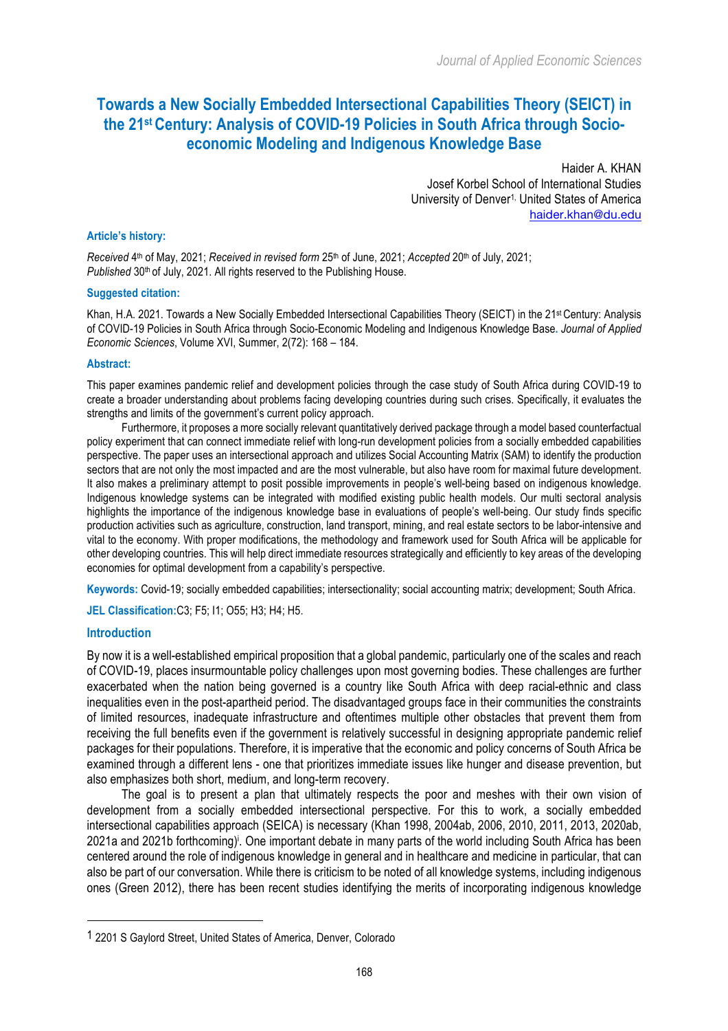# **Towards a New Socially Embedded Intersectional Capabilities Theory (SEICT) in the 21st Century: Analysis of COVID-19 Policies in South Africa through Socioeconomic Modeling and Indigenous Knowledge Base**

Haider A. KHAN Josef Korbel School of International Studies University of Denver<sup>1,</sup> United States of America haider.khan@du.edu

#### **Article's history:**

*Received* 4th of May, 2021; *Received in revised form* 25th of June, 2021; *Accepted* 20th of July, 2021; Published 30<sup>th</sup> of July, 2021. All rights reserved to the Publishing House.

#### **Suggested citation:**

Khan, H.A. 2021. Towards a New Socially Embedded Intersectional Capabilities Theory (SEICT) in the 21<sup>st</sup> Century: Analysis of COVID-19 Policies in South Africa through Socio-Economic Modeling and Indigenous Knowledge Base**.** *Journal of Applied Economic Sciences*, Volume XVI, Summer, 2(72): 168 – 184.

#### **Abstract:**

This paper examines pandemic relief and development policies through the case study of South Africa during COVID-19 to create a broader understanding about problems facing developing countries during such crises. Specifically, it evaluates the strengths and limits of the government's current policy approach.

Furthermore, it proposes a more socially relevant quantitatively derived package through a model based counterfactual policy experiment that can connect immediate relief with long-run development policies from a socially embedded capabilities perspective. The paper uses an intersectional approach and utilizes Social Accounting Matrix (SAM) to identify the production sectors that are not only the most impacted and are the most vulnerable, but also have room for maximal future development. It also makes a preliminary attempt to posit possible improvements in people's well-being based on indigenous knowledge. Indigenous knowledge systems can be integrated with modified existing public health models. Our multi sectoral analysis highlights the importance of the indigenous knowledge base in evaluations of people's well-being. Our study finds specific production activities such as agriculture, construction, land transport, mining, and real estate sectors to be labor-intensive and vital to the economy. With proper modifications, the methodology and framework used for South Africa will be applicable for other developing countries. This will help direct immediate resources strategically and efficiently to key areas of the developing economies for optimal development from a capability's perspective.

**Keywords:** Covid-19; socially embedded capabilities; intersectionality; social accounting matrix; development; South Africa.

**JEL Classification:**C3; F5; I1; O55; H3; H4; H5.

#### **Introduction**

By now it is a well-established empirical proposition that a global pandemic, particularly one of the scales and reach of COVID-19, places insurmountable policy challenges upon most governing bodies. These challenges are further exacerbated when the nation being governed is a country like South Africa with deep racial-ethnic and class inequalities even in the post-apartheid period. The disadvantaged groups face in their communities the constraints of limited resources, inadequate infrastructure and oftentimes multiple other obstacles that prevent them from receiving the full benefits even if the government is relatively successful in designing appropriate pandemic relief packages for their populations. Therefore, it is imperative that the economic and policy concerns of South Africa be examined through a different lens - one that prioritizes immediate issues like hunger and disease prevention, but also emphasizes both short, medium, and long-term recovery.

The goal is to present a plan that ultimately respects the poor and meshes with their own vision of development from a socially embedded intersectional perspective. For this to work, a socially embedded intersectional capabilities approach (SEICA) is necessary (Khan 1998, 2004ab, 2006, 2010, 2011, 2013, 2020ab, 2021a and 2021b forthcoming)i . One important debate in many parts of the world including South Africa has been centered around the role of indigenous knowledge in general and in healthcare and medicine in particular, that can also be part of our conversation. While there is criticism to be noted of all knowledge systems, including indigenous ones (Green 2012), there has been recent studies identifying the merits of incorporating indigenous knowledge

 

<sup>1</sup> 2201 S Gaylord Street, United States of America, Denver, Colorado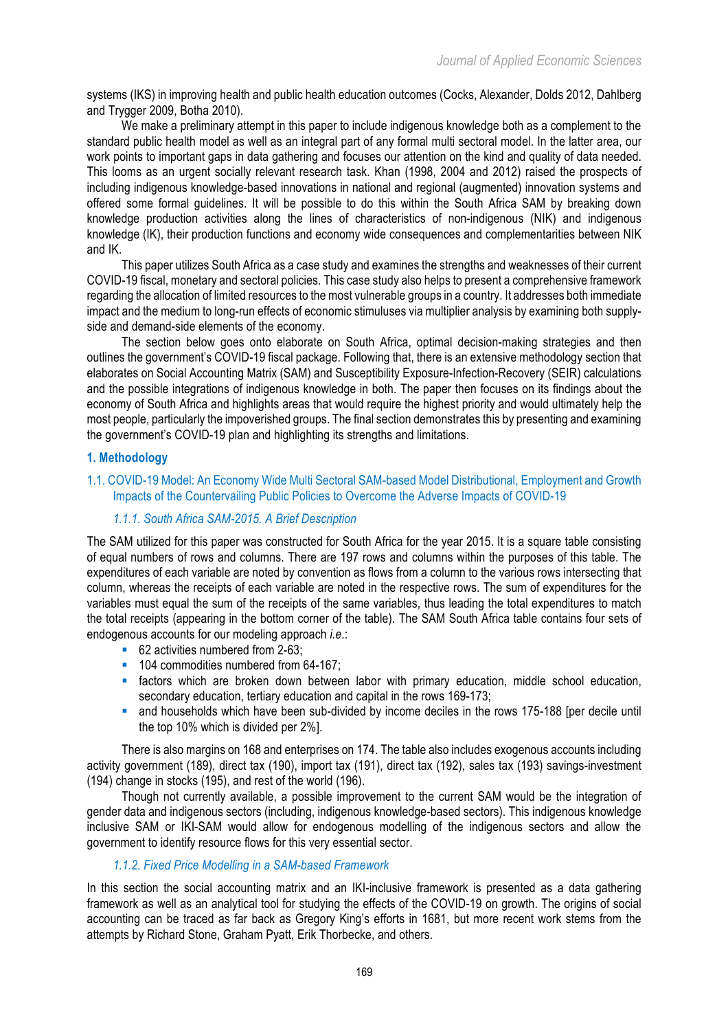systems (IKS) in improving health and public health education outcomes (Cocks, Alexander, Dolds 2012, Dahlberg and Trygger 2009, Botha 2010).

We make a preliminary attempt in this paper to include indigenous knowledge both as a complement to the standard public health model as well as an integral part of any formal multi sectoral model. In the latter area, our work points to important gaps in data gathering and focuses our attention on the kind and quality of data needed. This looms as an urgent socially relevant research task. Khan (1998, 2004 and 2012) raised the prospects of including indigenous knowledge-based innovations in national and regional (augmented) innovation systems and offered some formal guidelines. It will be possible to do this within the South Africa SAM by breaking down knowledge production activities along the lines of characteristics of non-indigenous (NIK) and indigenous knowledge (IK), their production functions and economy wide consequences and complementarities between NIK and IK.

This paper utilizes South Africa as a case study and examines the strengths and weaknesses of their current COVID-19 fiscal, monetary and sectoral policies. This case study also helps to present a comprehensive framework regarding the allocation of limited resources to the most vulnerable groups in a country. It addresses both immediate impact and the medium to long-run effects of economic stimuluses via multiplier analysis by examining both supplyside and demand-side elements of the economy.

The section below goes onto elaborate on South Africa, optimal decision-making strategies and then outlines the government's COVID-19 fiscal package. Following that, there is an extensive methodology section that elaborates on Social Accounting Matrix (SAM) and Susceptibility Exposure-Infection-Recovery (SEIR) calculations and the possible integrations of indigenous knowledge in both. The paper then focuses on its findings about the economy of South Africa and highlights areas that would require the highest priority and would ultimately help the most people, particularly the impoverished groups. The final section demonstrates this by presenting and examining the government's COVID-19 plan and highlighting its strengths and limitations.

## **1. Methodology**

## 1.1. COVID-19 Model: An Economy Wide Multi Sectoral SAM-based Model Distributional, Employment and Growth Impacts of the Countervailing Public Policies to Overcome the Adverse Impacts of COVID-19

## *1.1.1. South Africa SAM-2015. A Brief Description*

The SAM utilized for this paper was constructed for South Africa for the year 2015. It is a square table consisting of equal numbers of rows and columns. There are 197 rows and columns within the purposes of this table. The expenditures of each variable are noted by convention as flows from a column to the various rows intersecting that column, whereas the receipts of each variable are noted in the respective rows. The sum of expenditures for the variables must equal the sum of the receipts of the same variables, thus leading the total expenditures to match the total receipts (appearing in the bottom corner of the table). The SAM South Africa table contains four sets of endogenous accounts for our modeling approach *i.e*.:

- 62 activities numbered from 2-63;
- 104 commodities numbered from 64-167;
- factors which are broken down between labor with primary education, middle school education, secondary education, tertiary education and capital in the rows 169-173;
- and households which have been sub-divided by income deciles in the rows 175-188 [per decile until the top 10% which is divided per 2%].

There is also margins on 168 and enterprises on 174. The table also includes exogenous accounts including activity government (189), direct tax (190), import tax (191), direct tax (192), sales tax (193) savings-investment (194) change in stocks (195), and rest of the world (196).

Though not currently available, a possible improvement to the current SAM would be the integration of gender data and indigenous sectors (including, indigenous knowledge-based sectors). This indigenous knowledge inclusive SAM or IKI-SAM would allow for endogenous modelling of the indigenous sectors and allow the government to identify resource flows for this very essential sector.

# *1.1.2. Fixed Price Modelling in a SAM-based Framework*

In this section the social accounting matrix and an IKI-inclusive framework is presented as a data gathering framework as well as an analytical tool for studying the effects of the COVID-19 on growth. The origins of social accounting can be traced as far back as Gregory King's efforts in 1681, but more recent work stems from the attempts by Richard Stone, Graham Pyatt, Erik Thorbecke, and others.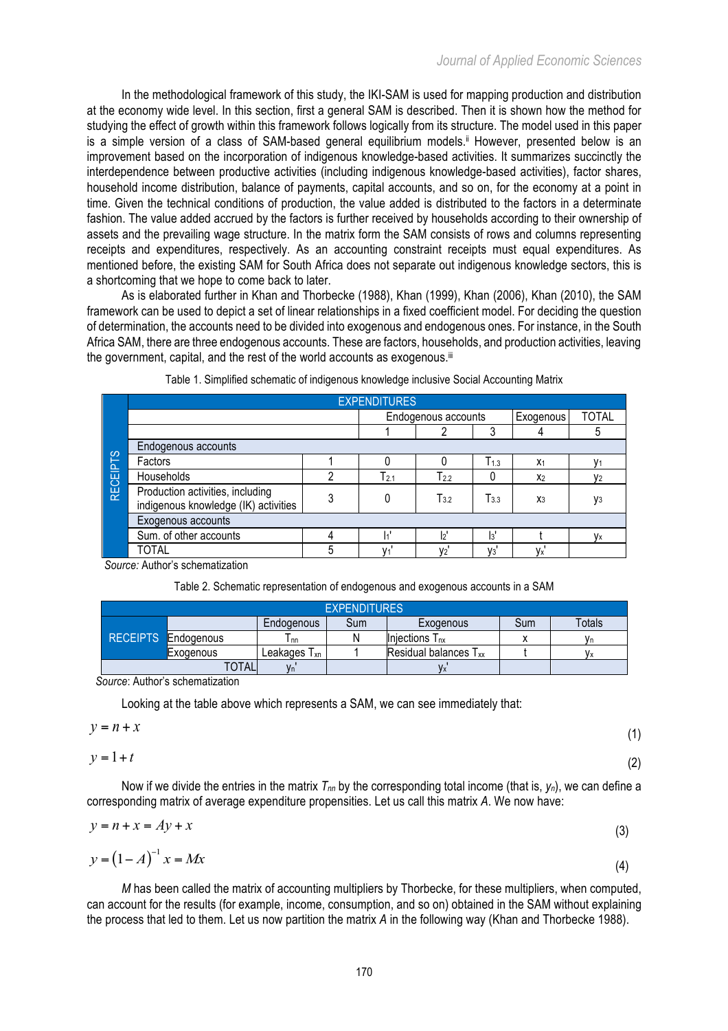In the methodological framework of this study, the IKI-SAM is used for mapping production and distribution at the economy wide level. In this section, first a general SAM is described. Then it is shown how the method for studying the effect of growth within this framework follows logically from its structure. The model used in this paper is a simple version of a class of SAM-based general equilibrium models.<sup>ii</sup> However, presented below is an improvement based on the incorporation of indigenous knowledge-based activities. It summarizes succinctly the interdependence between productive activities (including indigenous knowledge-based activities), factor shares, household income distribution, balance of payments, capital accounts, and so on, for the economy at a point in time. Given the technical conditions of production, the value added is distributed to the factors in a determinate fashion. The value added accrued by the factors is further received by households according to their ownership of assets and the prevailing wage structure. In the matrix form the SAM consists of rows and columns representing receipts and expenditures, respectively. As an accounting constraint receipts must equal expenditures. As mentioned before, the existing SAM for South Africa does not separate out indigenous knowledge sectors, this is a shortcoming that we hope to come back to later.

As is elaborated further in Khan and Thorbecke (1988), Khan (1999), Khan (2006), Khan (2010), the SAM framework can be used to depict a set of linear relationships in a fixed coefficient model. For deciding the question of determination, the accounts need to be divided into exogenous and endogenous ones. For instance, in the South Africa SAM, there are three endogenous accounts. These are factors, households, and production activities, leaving the government, capital, and the rest of the world accounts as exogenous.<sup>iii</sup>

|                 |                                                                          |   | <b>EXPENDITURES</b> |                     |              |                        |                |
|-----------------|--------------------------------------------------------------------------|---|---------------------|---------------------|--------------|------------------------|----------------|
|                 |                                                                          |   |                     | Endogenous accounts |              | Exogenous <sup>1</sup> | <b>TOTAL</b>   |
|                 |                                                                          |   |                     |                     | 3            |                        | 5              |
|                 | Endogenous accounts                                                      |   |                     |                     |              |                        |                |
|                 | Factors                                                                  |   |                     |                     | $T_{1.3}$    | X <sub>1</sub>         |                |
|                 | Households                                                               | 2 | $T_{2.1}$           | $T_{2.2}$           | 0            | X <sub>2</sub>         | V <sub>2</sub> |
| <b>RECEIPTS</b> | Production activities, including<br>indigenous knowledge (IK) activities | 3 | 0                   | $T_{3.2}$           | T3.3         | $X_3$                  | <b>У</b> з     |
|                 | Exogenous accounts                                                       |   |                     |                     |              |                        |                |
|                 | Sum. of other accounts                                                   | 4 | I۱                  | b                   | $\mathbf{a}$ |                        | Vx             |
|                 | <b>TOTAL</b>                                                             | 5 | V <sub>1</sub>      | V <sub>2</sub>      | $V_3$        | Vx                     |                |

|  | Table 1. Simplified schematic of indigenous knowledge inclusive Social Accounting Matrix |  |  |  |
|--|------------------------------------------------------------------------------------------|--|--|--|
|  |                                                                                          |  |  |  |

*Source:* Author's schematization

|  |  | Table 2. Schematic representation of endogenous and exogenous accounts in a SAM |  |
|--|--|---------------------------------------------------------------------------------|--|
|  |  |                                                                                 |  |

| <b>EXPENDITURES</b> |                   |                   |     |                              |     |        |  |  |  |
|---------------------|-------------------|-------------------|-----|------------------------------|-----|--------|--|--|--|
|                     |                   | <b>Endogenous</b> | Sum | Exogenous                    | Sum | Totals |  |  |  |
| <b>RECEIPTS</b>     | <b>Endogenous</b> | l nn              | Ν   | Injections T <sub>nx</sub>   |     |        |  |  |  |
|                     | <b>L</b> xodenous | Leakages $T_{xn}$ |     | <b>Residual balances Txx</b> |     |        |  |  |  |
|                     | <b>TAL</b>        |                   |     |                              |     |        |  |  |  |

*Source*: Author's schematization

Looking at the table above which represents a SAM, we can see immediately that:

$$
y = n + x \tag{1}
$$

 $y = 1 + t$  (2)

Now if we divide the entries in the matrix  $T_{nn}$  by the corresponding total income (that is,  $y_n$ ), we can define a corresponding matrix of average expenditure propensities. Let us call this matrix *A*. We now have:

$$
y = n + x = Ay + x \tag{3}
$$

$$
y = \left(1 - A\right)^{-1} x = Mx \tag{4}
$$

*M* has been called the matrix of accounting multipliers by Thorbecke, for these multipliers, when computed, can account for the results (for example, income, consumption, and so on) obtained in the SAM without explaining the process that led to them. Let us now partition the matrix *A* in the following way (Khan and Thorbecke 1988).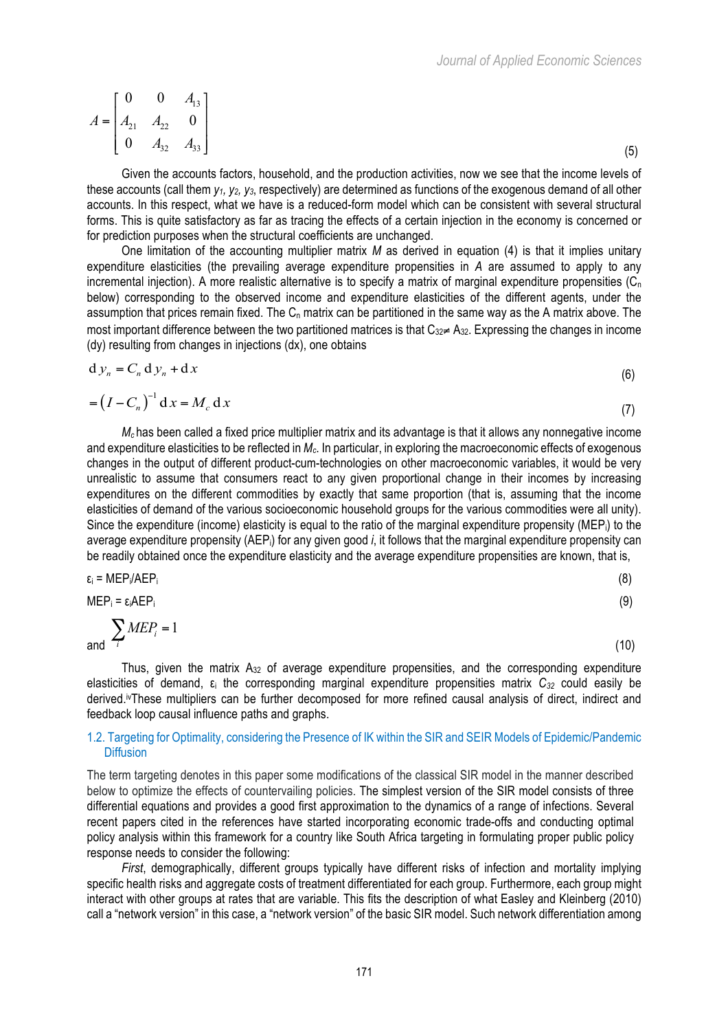$$
A = \begin{bmatrix} 0 & 0 & A_{13} \\ A_{21} & A_{22} & 0 \\ 0 & A_{32} & A_{33} \end{bmatrix}
$$
 (5)

Given the accounts factors, household, and the production activities, now we see that the income levels of these accounts (call them *y1, y2, y3*, respectively) are determined as functions of the exogenous demand of all other accounts. In this respect, what we have is a reduced-form model which can be consistent with several structural forms. This is quite satisfactory as far as tracing the effects of a certain injection in the economy is concerned or for prediction purposes when the structural coefficients are unchanged.

One limitation of the accounting multiplier matrix *M* as derived in equation (4) is that it implies unitary expenditure elasticities (the prevailing average expenditure propensities in *A* are assumed to apply to any incremental injection). A more realistic alternative is to specify a matrix of marginal expenditure propensities  $(C_n)$ below) corresponding to the observed income and expenditure elasticities of the different agents, under the assumption that prices remain fixed. The  $C_n$  matrix can be partitioned in the same way as the A matrix above. The most important difference between the two partitioned matrices is that  $C_{32}$ ≠ A<sub>32</sub>. Expressing the changes in income (dy) resulting from changes in injections (dx), one obtains

$$
d y_n = C_n d y_n + d x \tag{6}
$$

$$
= (I - Cn)-1 dx = Mc dx
$$
\n(7)

*Mc* has been called a fixed price multiplier matrix and its advantage is that it allows any nonnegative income and expenditure elasticities to be reflected in *Mc*. In particular, in exploring the macroeconomic effects of exogenous changes in the output of different product-cum-technologies on other macroeconomic variables, it would be very unrealistic to assume that consumers react to any given proportional change in their incomes by increasing expenditures on the different commodities by exactly that same proportion (that is, assuming that the income elasticities of demand of the various socioeconomic household groups for the various commodities were all unity). Since the expenditure (income) elasticity is equal to the ratio of the marginal expenditure propensity (MEP<sub>i</sub>) to the average expenditure propensity (AEPi) for any given good *i*, it follows that the marginal expenditure propensity can be readily obtained once the expenditure elasticity and the average expenditure propensities are known, that is,

$$
\varepsilon_i = \text{MEP}_i/\text{AEP}_i \tag{8}
$$

$$
MEP_i = \varepsilon_i AEP_i \tag{9}
$$

and

$$
\sum_{i} MEP_i = 1 \tag{10}
$$

Thus, given the matrix A32 of average expenditure propensities, and the corresponding expenditure elasticities of demand, ε<sub>i</sub> the corresponding marginal expenditure propensities matrix *C<sub>32</sub>* could easily be derived.<sup>iv</sup>These multipliers can be further decomposed for more refined causal analysis of direct, indirect and feedback loop causal influence paths and graphs.

## 1.2. Targeting for Optimality, considering the Presence of IK within the SIR and SEIR Models of Epidemic/Pandemic **Diffusion**

The term targeting denotes in this paper some modifications of the classical SIR model in the manner described below to optimize the effects of countervailing policies. The simplest version of the SIR model consists of three differential equations and provides a good first approximation to the dynamics of a range of infections. Several recent papers cited in the references have started incorporating economic trade-offs and conducting optimal policy analysis within this framework for a country like South Africa targeting in formulating proper public policy response needs to consider the following:

*First*, demographically, different groups typically have different risks of infection and mortality implying specific health risks and aggregate costs of treatment differentiated for each group. Furthermore, each group might interact with other groups at rates that are variable. This fits the description of what Easley and Kleinberg (2010) call a "network version" in this case, a "network version" of the basic SIR model. Such network differentiation among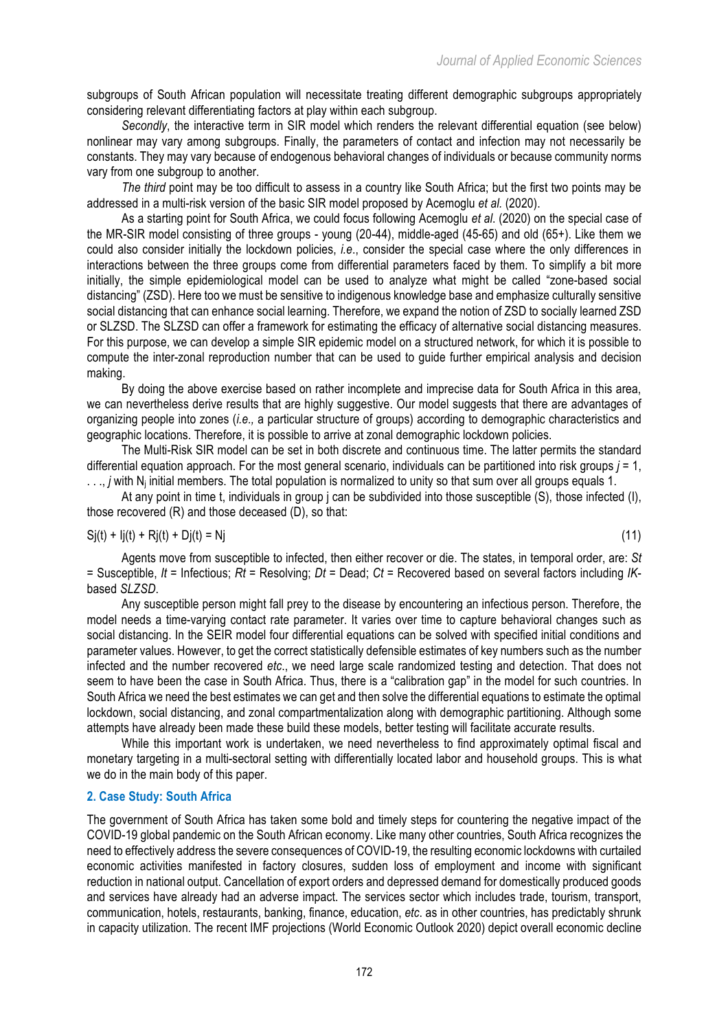subgroups of South African population will necessitate treating different demographic subgroups appropriately considering relevant differentiating factors at play within each subgroup.

*Secondly*, the interactive term in SIR model which renders the relevant differential equation (see below) nonlinear may vary among subgroups. Finally, the parameters of contact and infection may not necessarily be constants. They may vary because of endogenous behavioral changes of individuals or because community norms vary from one subgroup to another.

*The third* point may be too difficult to assess in a country like South Africa; but the first two points may be addressed in a multi-risk version of the basic SIR model proposed by Acemoglu *et al.* (2020).

As a starting point for South Africa, we could focus following Acemoglu *et al*. (2020) on the special case of the MR-SIR model consisting of three groups - young (20-44), middle-aged (45-65) and old (65+). Like them we could also consider initially the lockdown policies, *i.e*., consider the special case where the only differences in interactions between the three groups come from differential parameters faced by them. To simplify a bit more initially, the simple epidemiological model can be used to analyze what might be called "zone-based social distancing" (ZSD). Here too we must be sensitive to indigenous knowledge base and emphasize culturally sensitive social distancing that can enhance social learning. Therefore, we expand the notion of ZSD to socially learned ZSD or SLZSD. The SLZSD can offer a framework for estimating the efficacy of alternative social distancing measures. For this purpose, we can develop a simple SIR epidemic model on a structured network, for which it is possible to compute the inter-zonal reproduction number that can be used to guide further empirical analysis and decision making.

By doing the above exercise based on rather incomplete and imprecise data for South Africa in this area, we can nevertheless derive results that are highly suggestive. Our model suggests that there are advantages of organizing people into zones (*i.e.,* a particular structure of groups) according to demographic characteristics and geographic locations. Therefore, it is possible to arrive at zonal demographic lockdown policies.

The Multi-Risk SIR model can be set in both discrete and continuous time. The latter permits the standard differential equation approach. For the most general scenario, individuals can be partitioned into risk groups  $j = 1$ , ..., *j* with N<sub>i</sub> initial members. The total population is normalized to unity so that sum over all groups equals 1.

At any point in time t, individuals in group j can be subdivided into those susceptible (S), those infected (I), those recovered (R) and those deceased (D), so that:

$$
Si(t) + Ij(t) + Rj(t) + Dj(t) = Nj \tag{11}
$$

Agents move from susceptible to infected, then either recover or die. The states, in temporal order, are: *St* = Susceptible, *It* = Infectious; *Rt* = Resolving; *Dt* = Dead; *Ct* = Recovered based on several factors including *IK*based *SLZSD*.

Any susceptible person might fall prey to the disease by encountering an infectious person. Therefore, the model needs a time-varying contact rate parameter. It varies over time to capture behavioral changes such as social distancing. In the SEIR model four differential equations can be solved with specified initial conditions and parameter values. However, to get the correct statistically defensible estimates of key numbers such as the number infected and the number recovered *etc*., we need large scale randomized testing and detection. That does not seem to have been the case in South Africa. Thus, there is a "calibration gap" in the model for such countries. In South Africa we need the best estimates we can get and then solve the differential equations to estimate the optimal lockdown, social distancing, and zonal compartmentalization along with demographic partitioning. Although some attempts have already been made these build these models, better testing will facilitate accurate results.

While this important work is undertaken, we need nevertheless to find approximately optimal fiscal and monetary targeting in a multi-sectoral setting with differentially located labor and household groups. This is what we do in the main body of this paper.

## **2. Case Study: South Africa**

The government of South Africa has taken some bold and timely steps for countering the negative impact of the COVID-19 global pandemic on the South African economy. Like many other countries, South Africa recognizes the need to effectively address the severe consequences of COVID-19, the resulting economic lockdowns with curtailed economic activities manifested in factory closures, sudden loss of employment and income with significant reduction in national output. Cancellation of export orders and depressed demand for domestically produced goods and services have already had an adverse impact. The services sector which includes trade, tourism, transport, communication, hotels, restaurants, banking, finance, education, *etc*. as in other countries, has predictably shrunk in capacity utilization. The recent IMF projections (World Economic Outlook 2020) depict overall economic decline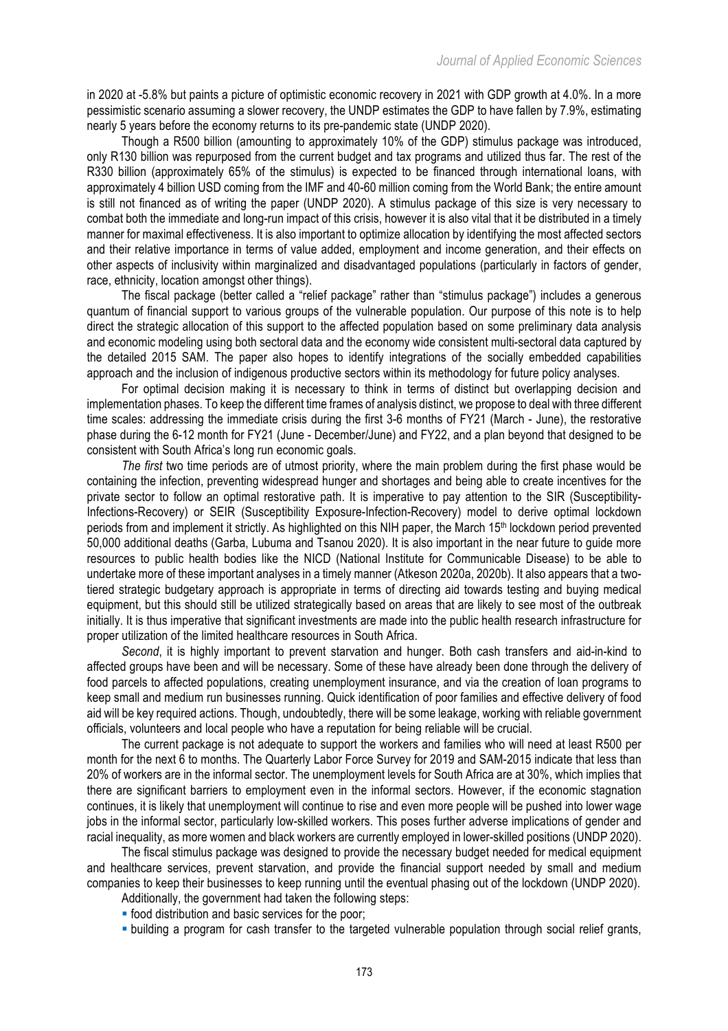in 2020 at -5.8% but paints a picture of optimistic economic recovery in 2021 with GDP growth at 4.0%. In a more pessimistic scenario assuming a slower recovery, the UNDP estimates the GDP to have fallen by 7.9%, estimating nearly 5 years before the economy returns to its pre-pandemic state (UNDP 2020).

Though a R500 billion (amounting to approximately 10% of the GDP) stimulus package was introduced, only R130 billion was repurposed from the current budget and tax programs and utilized thus far. The rest of the R330 billion (approximately 65% of the stimulus) is expected to be financed through international loans, with approximately 4 billion USD coming from the IMF and 40-60 million coming from the World Bank; the entire amount is still not financed as of writing the paper (UNDP 2020). A stimulus package of this size is very necessary to combat both the immediate and long-run impact of this crisis, however it is also vital that it be distributed in a timely manner for maximal effectiveness. It is also important to optimize allocation by identifying the most affected sectors and their relative importance in terms of value added, employment and income generation, and their effects on other aspects of inclusivity within marginalized and disadvantaged populations (particularly in factors of gender, race, ethnicity, location amongst other things).

The fiscal package (better called a "relief package" rather than "stimulus package") includes a generous quantum of financial support to various groups of the vulnerable population. Our purpose of this note is to help direct the strategic allocation of this support to the affected population based on some preliminary data analysis and economic modeling using both sectoral data and the economy wide consistent multi-sectoral data captured by the detailed 2015 SAM. The paper also hopes to identify integrations of the socially embedded capabilities approach and the inclusion of indigenous productive sectors within its methodology for future policy analyses.

For optimal decision making it is necessary to think in terms of distinct but overlapping decision and implementation phases. To keep the different time frames of analysis distinct, we propose to deal with three different time scales: addressing the immediate crisis during the first 3-6 months of FY21 (March - June), the restorative phase during the 6-12 month for FY21 (June - December/June) and FY22, and a plan beyond that designed to be consistent with South Africa's long run economic goals.

*The first* two time periods are of utmost priority, where the main problem during the first phase would be containing the infection, preventing widespread hunger and shortages and being able to create incentives for the private sector to follow an optimal restorative path. It is imperative to pay attention to the SIR (Susceptibility-Infections-Recovery) or SEIR (Susceptibility Exposure-Infection-Recovery) model to derive optimal lockdown periods from and implement it strictly. As highlighted on this NIH paper, the March 15th lockdown period prevented 50,000 additional deaths (Garba, Lubuma and Tsanou 2020). It is also important in the near future to guide more resources to public health bodies like the NICD (National Institute for Communicable Disease) to be able to undertake more of these important analyses in a timely manner (Atkeson 2020a, 2020b). It also appears that a twotiered strategic budgetary approach is appropriate in terms of directing aid towards testing and buying medical equipment, but this should still be utilized strategically based on areas that are likely to see most of the outbreak initially. It is thus imperative that significant investments are made into the public health research infrastructure for proper utilization of the limited healthcare resources in South Africa.

*Second*, it is highly important to prevent starvation and hunger. Both cash transfers and aid-in-kind to affected groups have been and will be necessary. Some of these have already been done through the delivery of food parcels to affected populations, creating unemployment insurance, and via the creation of loan programs to keep small and medium run businesses running. Quick identification of poor families and effective delivery of food aid will be key required actions. Though, undoubtedly, there will be some leakage, working with reliable government officials, volunteers and local people who have a reputation for being reliable will be crucial.

The current package is not adequate to support the workers and families who will need at least R500 per month for the next 6 to months. The Quarterly Labor Force Survey for 2019 and SAM-2015 indicate that less than 20% of workers are in the informal sector. The unemployment levels for South Africa are at 30%, which implies that there are significant barriers to employment even in the informal sectors. However, if the economic stagnation continues, it is likely that unemployment will continue to rise and even more people will be pushed into lower wage jobs in the informal sector, particularly low-skilled workers. This poses further adverse implications of gender and racial inequality, as more women and black workers are currently employed in lower-skilled positions (UNDP 2020).

The fiscal stimulus package was designed to provide the necessary budget needed for medical equipment and healthcare services, prevent starvation, and provide the financial support needed by small and medium companies to keep their businesses to keep running until the eventual phasing out of the lockdown (UNDP 2020).

- Additionally, the government had taken the following steps:
- food distribution and basic services for the poor:
- building a program for cash transfer to the targeted vulnerable population through social relief grants,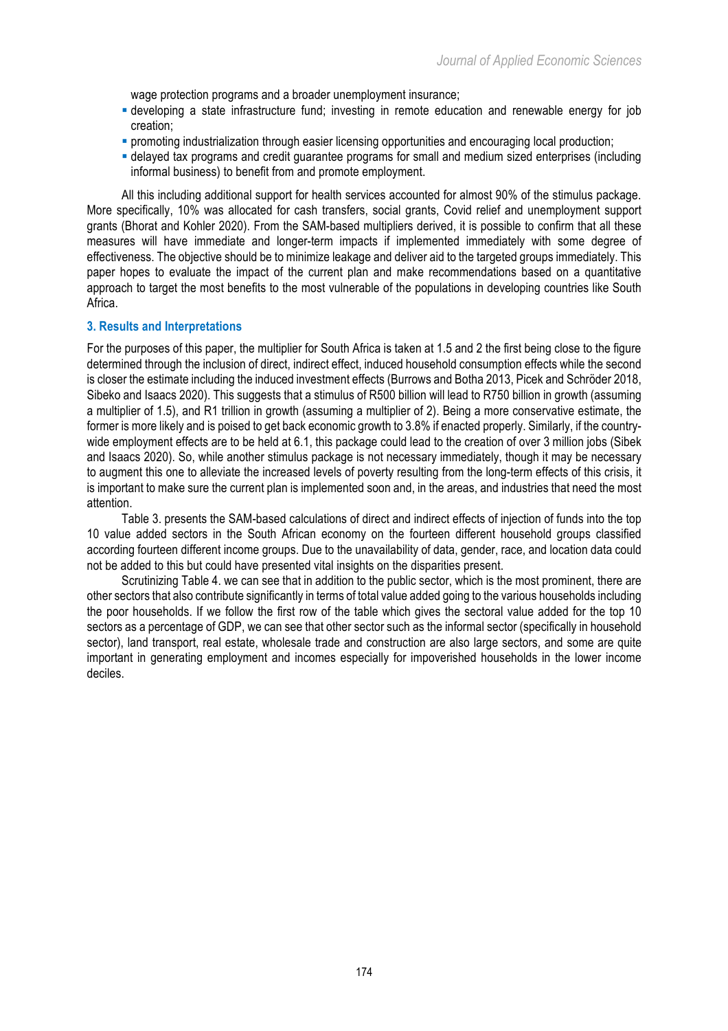wage protection programs and a broader unemployment insurance;

- § developing a state infrastructure fund; investing in remote education and renewable energy for job creation;
- § promoting industrialization through easier licensing opportunities and encouraging local production;
- § delayed tax programs and credit guarantee programs for small and medium sized enterprises (including informal business) to benefit from and promote employment.

All this including additional support for health services accounted for almost 90% of the stimulus package. More specifically, 10% was allocated for cash transfers, social grants, Covid relief and unemployment support grants (Bhorat and Kohler 2020). From the SAM-based multipliers derived, it is possible to confirm that all these measures will have immediate and longer-term impacts if implemented immediately with some degree of effectiveness. The objective should be to minimize leakage and deliver aid to the targeted groups immediately. This paper hopes to evaluate the impact of the current plan and make recommendations based on a quantitative approach to target the most benefits to the most vulnerable of the populations in developing countries like South Africa.

#### **3. Results and Interpretations**

For the purposes of this paper, the multiplier for South Africa is taken at 1.5 and 2 the first being close to the figure determined through the inclusion of direct, indirect effect, induced household consumption effects while the second is closer the estimate including the induced investment effects (Burrows and Botha 2013, Picek and Schröder 2018, Sibeko and Isaacs 2020). This suggests that a stimulus of R500 billion will lead to R750 billion in growth (assuming a multiplier of 1.5), and R1 trillion in growth (assuming a multiplier of 2). Being a more conservative estimate, the former is more likely and is poised to get back economic growth to 3.8% if enacted properly. Similarly, if the countrywide employment effects are to be held at 6.1, this package could lead to the creation of over 3 million jobs (Sibek and Isaacs 2020). So, while another stimulus package is not necessary immediately, though it may be necessary to augment this one to alleviate the increased levels of poverty resulting from the long-term effects of this crisis, it is important to make sure the current plan is implemented soon and, in the areas, and industries that need the most attention.

Table 3. presents the SAM-based calculations of direct and indirect effects of injection of funds into the top 10 value added sectors in the South African economy on the fourteen different household groups classified according fourteen different income groups. Due to the unavailability of data, gender, race, and location data could not be added to this but could have presented vital insights on the disparities present.

Scrutinizing Table 4. we can see that in addition to the public sector, which is the most prominent, there are other sectors that also contribute significantly in terms of total value added going to the various households including the poor households. If we follow the first row of the table which gives the sectoral value added for the top 10 sectors as a percentage of GDP, we can see that other sector such as the informal sector (specifically in household sector), land transport, real estate, wholesale trade and construction are also large sectors, and some are quite important in generating employment and incomes especially for impoverished households in the lower income deciles.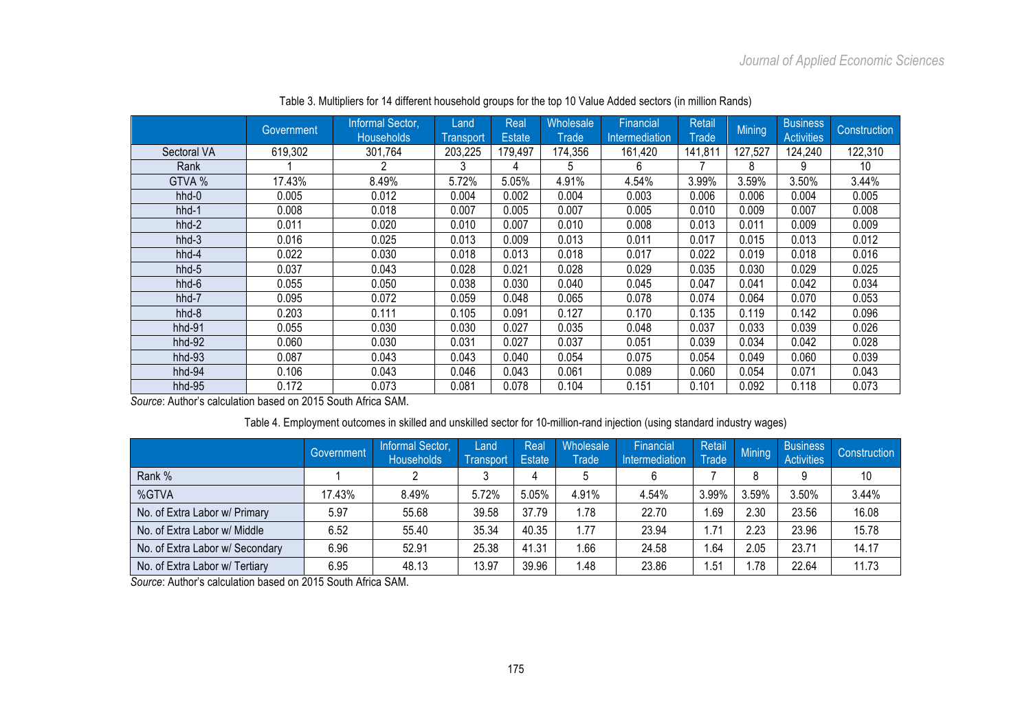|             | Government             | Informal Sector,<br><b>Households</b> | Land<br><b>Transport</b> | Real<br><b>Estate</b> | <b>Wholesale</b><br>Trade | Financial<br>Intermediation | Retail<br>Trade | <b>Mining</b> | <b>Business</b><br><b>Activities</b> | <b>Construction</b> |
|-------------|------------------------|---------------------------------------|--------------------------|-----------------------|---------------------------|-----------------------------|-----------------|---------------|--------------------------------------|---------------------|
| Sectoral VA | 619,302                | 301,764                               | 203,225                  | 179,497               | 174,356                   | 161,420                     | 141,81          | 127,527       | 124,240                              | 122,310             |
| Rank        |                        | 2                                     |                          | 4                     | 5                         | 6                           |                 | 8             | g                                    | 10                  |
| GTVA %      | 17.43%                 | 8.49%                                 | 5.72%                    | 5.05%                 | 4.91%                     | 4.54%                       | 3.99%           | 3.59%         | 3.50%                                | 3.44%               |
| hhd-0       | 0.005                  | 0.012                                 | 0.004                    | 0.002                 | 0.004                     | 0.003                       | 0.006           | 0.006         | 0.004                                | 0.005               |
| hhd-1       | 0.008                  | 0.018                                 | 0.007                    | 0.005                 | 0.007                     | 0.005                       | 0.010           | 0.009         | 0.007                                | 0.008               |
| hhd-2       | 0.011                  | 0.020                                 | 0.010                    | 0.007                 | 0.010                     | 0.008                       | 0.013           | 0.011         | 0.009                                | 0.009               |
| hhd-3       | 0.016                  | 0.025                                 | 0.013                    | 0.009                 | 0.013                     | 0.011                       | 0.017           | 0.015         | 0.013                                | 0.012               |
| hhd-4       | 0.022                  | 0.030                                 | 0.018                    | 0.013                 | 0.018                     | 0.017                       | 0.022           | 0.019         | 0.018                                | 0.016               |
| hhd-5       | 0.037                  | 0.043                                 | 0.028                    | 0.021                 | 0.028                     | 0.029                       | 0.035           | 0.030         | 0.029                                | 0.025               |
| hhd-6       | 0.055                  | 0.050                                 | 0.038                    | 0.030                 | 0.040                     | 0.045                       | 0.047           | 0.041         | 0.042                                | 0.034               |
| hhd-7       | 0.095                  | 0.072                                 | 0.059                    | 0.048                 | 0.065                     | 0.078                       | 0.074           | 0.064         | 0.070                                | 0.053               |
| hhd-8       | 0.203                  | 0.111                                 | 0.105                    | 0.091                 | 0.127                     | 0.170                       | 0.135           | 0.119         | 0.142                                | 0.096               |
| $hhd-91$    | 0.055                  | 0.030                                 | 0.030                    | 0.027                 | 0.035                     | 0.048                       | 0.037           | 0.033         | 0.039                                | 0.026               |
| $hhd-92$    | 0.060                  | 0.030                                 | 0.031                    | 0.027                 | 0.037                     | 0.051                       | 0.039           | 0.034         | 0.042                                | 0.028               |
| hhd-93      | 0.087                  | 0.043                                 | 0.043                    | 0.040                 | 0.054                     | 0.075                       | 0.054           | 0.049         | 0.060                                | 0.039               |
| $hhd-94$    | 0.106                  | 0.043                                 | 0.046                    | 0.043                 | 0.061                     | 0.089                       | 0.060           | 0.054         | 0.071                                | 0.043               |
| hhd-95<br>. | 0.172<br>$\sim$ $\sim$ | 0.073<br>.                            | 0.081                    | 0.078                 | 0.104                     | 0.151                       | 0.101           | 0.092         | 0.118                                | 0.073               |

Table 3. Multipliers for 14 different household groups for the top 10 Value Added sectors (in million Rands)

*Source*: Author's calculation based on 2015 South Africa SAM.

# Table 4. Employment outcomes in skilled and unskilled sector for 10-million-rand injection (using standard industry wages)

|                                 | Government | Informal Sector,<br><b>Households</b> | Land<br>Transport | Real<br><b>Estate</b> | Wholesale<br><b>Trade</b> | Financial<br>Intermediation | Retail<br>Trade | Mining | <b>Business</b><br><b>Activities</b> | Construction |
|---------------------------------|------------|---------------------------------------|-------------------|-----------------------|---------------------------|-----------------------------|-----------------|--------|--------------------------------------|--------------|
| Rank %                          |            |                                       |                   |                       |                           |                             |                 | 8      |                                      | 10           |
| %GTVA                           | 17.43%     | 8.49%                                 | 5.72%             | 5.05%                 | 4.91%                     | 4.54%                       | 3.99%           | 3.59%  | 3.50%                                | 3.44%        |
| No. of Extra Labor w/ Primary   | 5.97       | 55.68                                 | 39.58             | 37.79                 | 1.78                      | 22.70                       | 69. ا           | 2.30   | 23.56                                | 16.08        |
| No. of Extra Labor w/ Middle    | 6.52       | 55.40                                 | 35.34             | 40.35                 | 1.77                      | 23.94                       | 1.71            | 2.23   | 23.96                                | 15.78        |
| No. of Extra Labor w/ Secondary | 6.96       | 52.91                                 | 25.38             | 41.31                 | .66                       | 24.58                       | .64             | 2.05   | 23.71                                | 14.17        |
| No. of Extra Labor w/ Tertiary  | 6.95       | 48.13                                 | 13.97             | 39.96                 | 1.48                      | 23.86                       | .51             | .78    | 22.64                                | 11.73        |

*Source*: Author's calculation based on 2015 South Africa SAM.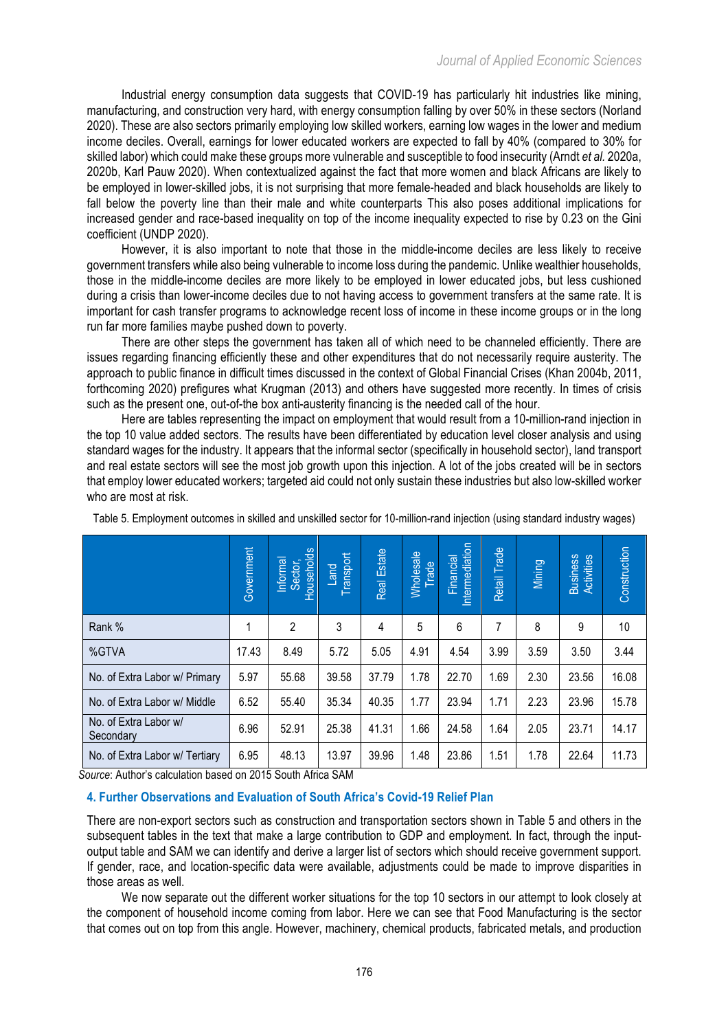Industrial energy consumption data suggests that COVID-19 has particularly hit industries like mining, manufacturing, and construction very hard, with energy consumption falling by over 50% in these sectors (Norland 2020). These are also sectors primarily employing low skilled workers, earning low wages in the lower and medium income deciles. Overall, earnings for lower educated workers are expected to fall by 40% (compared to 30% for skilled labor) which could make these groups more vulnerable and susceptible to food insecurity (Arndt *et al.* 2020a, 2020b, Karl Pauw 2020). When contextualized against the fact that more women and black Africans are likely to be employed in lower-skilled jobs, it is not surprising that more female-headed and black households are likely to fall below the poverty line than their male and white counterparts This also poses additional implications for increased gender and race-based inequality on top of the income inequality expected to rise by 0.23 on the Gini coefficient (UNDP 2020).

However, it is also important to note that those in the middle-income deciles are less likely to receive government transfers while also being vulnerable to income loss during the pandemic. Unlike wealthier households, those in the middle-income deciles are more likely to be employed in lower educated jobs, but less cushioned during a crisis than lower-income deciles due to not having access to government transfers at the same rate. It is important for cash transfer programs to acknowledge recent loss of income in these income groups or in the long run far more families maybe pushed down to poverty.

There are other steps the government has taken all of which need to be channeled efficiently. There are issues regarding financing efficiently these and other expenditures that do not necessarily require austerity. The approach to public finance in difficult times discussed in the context of Global Financial Crises (Khan 2004b, 2011, forthcoming 2020) prefigures what Krugman (2013) and others have suggested more recently. In times of crisis such as the present one, out-of-the box anti-austerity financing is the needed call of the hour.

Here are tables representing the impact on employment that would result from a 10-million-rand injection in the top 10 value added sectors. The results have been differentiated by education level closer analysis and using standard wages for the industry. It appears that the informal sector (specifically in household sector), land transport and real estate sectors will see the most job growth upon this injection. A lot of the jobs created will be in sectors that employ lower educated workers; targeted aid could not only sustain these industries but also low-skilled worker who are most at risk.

|                                                                                                                                                                                                                                                                                                                                                                                                                                                                                                                                                                                                                    | Government | Informal<br>Sector,<br>Households | Transport<br>Land | Real Estate | <b>Wholesale</b><br>rade | ntermediation<br>Financial | Retail Trade | Mining | Business<br>Activities | Construction    |
|--------------------------------------------------------------------------------------------------------------------------------------------------------------------------------------------------------------------------------------------------------------------------------------------------------------------------------------------------------------------------------------------------------------------------------------------------------------------------------------------------------------------------------------------------------------------------------------------------------------------|------------|-----------------------------------|-------------------|-------------|--------------------------|----------------------------|--------------|--------|------------------------|-----------------|
| Rank %                                                                                                                                                                                                                                                                                                                                                                                                                                                                                                                                                                                                             | 1          | $\overline{2}$                    | 3                 | 4           | 5                        | 6                          | 7            | 8      | 9                      | 10 <sup>1</sup> |
| %GTVA                                                                                                                                                                                                                                                                                                                                                                                                                                                                                                                                                                                                              | 17.43      | 8.49                              | 5.72              | 5.05        | 4.91                     | 4.54                       | 3.99         | 3.59   | 3.50                   | 3.44            |
| No. of Extra Labor w/ Primary                                                                                                                                                                                                                                                                                                                                                                                                                                                                                                                                                                                      | 5.97       | 55.68                             | 39.58             | 37.79       | 1.78                     | 22.70                      | 1.69         | 2.30   | 23.56                  | 16.08           |
| No. of Extra Labor w/ Middle                                                                                                                                                                                                                                                                                                                                                                                                                                                                                                                                                                                       | 6.52       | 55.40                             | 35.34             | 40.35       | 1.77                     | 23.94                      | 1.71         | 2.23   | 23.96                  | 15.78           |
| No. of Extra Labor w/<br>Secondary                                                                                                                                                                                                                                                                                                                                                                                                                                                                                                                                                                                 | 6.96       | 52.91                             | 25.38             | 41.31       | 1.66                     | 24.58                      | 1.64         | 2.05   | 23.71                  | 14.17           |
| No. of Extra Labor w/ Tertiary                                                                                                                                                                                                                                                                                                                                                                                                                                                                                                                                                                                     | 6.95       | 48.13                             | 13.97             | 39.96       | 1.48                     | 23.86                      | 1.51         | 1.78   | 22.64                  | 11.73           |
| Source: Author's calculation based on 2015 South Africa SAM<br>4. Further Observations and Evaluation of South Africa's Covid-19 Relief Plan                                                                                                                                                                                                                                                                                                                                                                                                                                                                       |            |                                   |                   |             |                          |                            |              |        |                        |                 |
| There are non-export sectors such as construction and transportation sectors shown in Table 5 and others in the<br>subsequent tables in the text that make a large contribution to GDP and employment. In fact, through the input-<br>output table and SAM we can identify and derive a larger list of sectors which should receive government support.<br>If gender, race, and location-specific data were available, adjustments could be made to improve disparities in<br>those areas as well.<br>We now separate out the different worker situations for the top 10 sectors in our attempt to look closely at |            |                                   |                   |             |                          |                            |              |        |                        |                 |
| the component of household income coming from labor. Here we can see that Food Manufacturing is the sector<br>that comes out on top from this angle. However, machinery, chemical products, fabricated metals, and production                                                                                                                                                                                                                                                                                                                                                                                      |            |                                   |                   |             |                          |                            |              |        |                        |                 |

Table 5. Employment outcomes in skilled and unskilled sector for 10-million-rand injection (using standard industry wages)

## **4. Further Observations and Evaluation of South Africa's Covid-19 Relief Plan**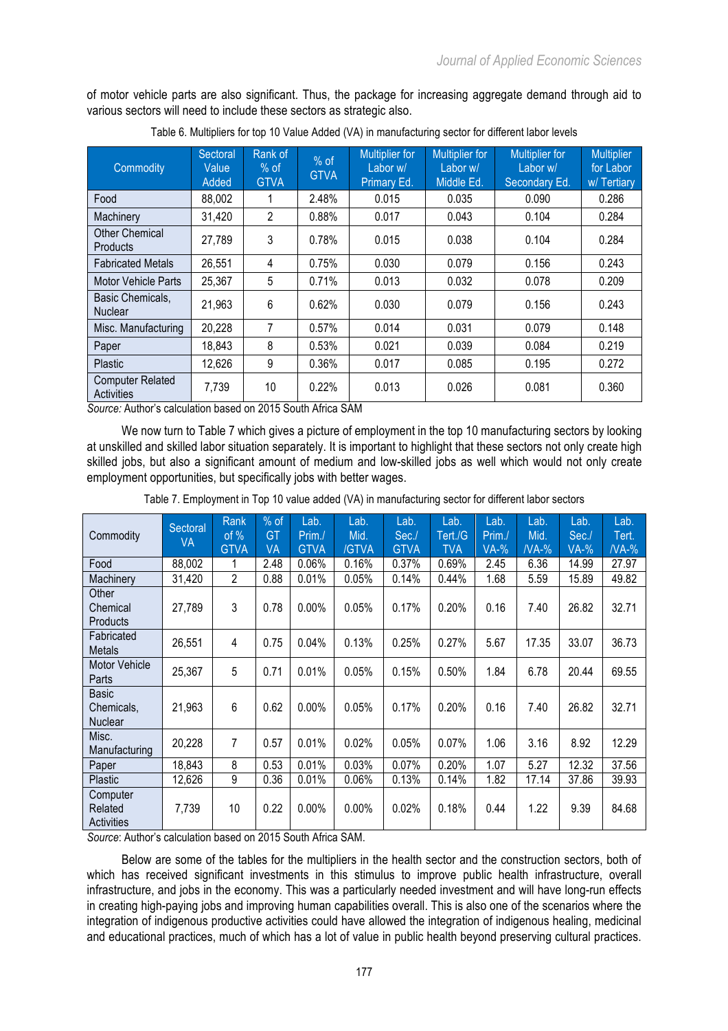of motor vehicle parts are also significant. Thus, the package for increasing aggregate demand through aid to various sectors will need to include these sectors as strategic also.

| Commodity                                    | Sectoral<br>Value<br>Added | Rank of<br>$%$ of<br><b>GTVA</b> | $%$ of<br><b>GTVA</b> | <b>Multiplier for</b><br>Labor w/<br>Primary Ed. | <b>Multiplier for</b><br>Labor w/<br>Middle Ed. | <b>Multiplier for</b><br>Labor w/<br>Secondary Ed. | <b>Multiplier</b><br>for Labor<br>w/Tertiary |
|----------------------------------------------|----------------------------|----------------------------------|-----------------------|--------------------------------------------------|-------------------------------------------------|----------------------------------------------------|----------------------------------------------|
| Food                                         | 88,002                     |                                  | 2.48%                 | 0.015                                            | 0.035                                           | 0.090                                              | 0.286                                        |
| Machinery                                    | 31,420                     | $\overline{2}$                   | 0.88%                 | 0.017                                            | 0.043                                           | 0.104                                              | 0.284                                        |
| Other Chemical<br>Products                   | 27,789                     | 3                                | 0.78%                 | 0.015                                            | 0.038                                           | 0.104                                              | 0.284                                        |
| <b>Fabricated Metals</b>                     | 26,551                     | 4                                | 0.75%                 | 0.030                                            | 0.079                                           | 0.156                                              | 0.243                                        |
| <b>Motor Vehicle Parts</b>                   | 25,367                     | 5                                | 0.71%                 | 0.013                                            | 0.032                                           | 0.078                                              | 0.209                                        |
| Basic Chemicals.<br><b>Nuclear</b>           | 21,963                     | 6                                | 0.62%                 | 0.030                                            | 0.079                                           | 0.156                                              | 0.243                                        |
| Misc. Manufacturing                          | 20,228                     | 7                                | 0.57%                 | 0.014                                            | 0.031                                           | 0.079                                              | 0.148                                        |
| Paper                                        | 18,843                     | 8                                | 0.53%                 | 0.021                                            | 0.039                                           | 0.084                                              | 0.219                                        |
| Plastic                                      | 12,626                     | 9                                | 0.36%                 | 0.017                                            | 0.085                                           | 0.195                                              | 0.272                                        |
| <b>Computer Related</b><br><b>Activities</b> | 7,739                      | 10                               | 0.22%                 | 0.013                                            | 0.026                                           | 0.081                                              | 0.360                                        |

|  |  | Table 6. Multipliers for top 10 Value Added (VA) in manufacturing sector for different labor levels |  |  |
|--|--|-----------------------------------------------------------------------------------------------------|--|--|
|  |  |                                                                                                     |  |  |

*Source:* Author's calculation based on 2015 South Africa SAM

We now turn to Table 7 which gives a picture of employment in the top 10 manufacturing sectors by looking at unskilled and skilled labor situation separately. It is important to highlight that these sectors not only create high skilled jobs, but also a significant amount of medium and low-skilled jobs as well which would not only create employment opportunities, but specifically jobs with better wages.

| Commodity                                    | Sectoral<br>VA | Rank<br>of $%$<br><b>GTVA</b> | $%$ of<br>GT<br><b>VA</b> | Lab.<br>Prim./<br><b>GTVA</b> | Lab.<br>Mid.<br>/GTVA | Lab.<br>Sec.<br><b>GTVA</b> | Lab.<br>Tert./G<br><b>TVA</b> | Lab.<br>Prim.<br>$VA-%$ | Lab.<br>Mid.<br>$NA-%$ | Lab.<br>Sec./<br>$VA-%$ | Lab.<br>Tert.<br>$NA-%$ |
|----------------------------------------------|----------------|-------------------------------|---------------------------|-------------------------------|-----------------------|-----------------------------|-------------------------------|-------------------------|------------------------|-------------------------|-------------------------|
| Food                                         | 88,002         |                               | 2.48                      | 0.06%                         | 0.16%                 | 0.37%                       | 0.69%                         | 2.45                    | 6.36                   | 14.99                   | 27.97                   |
| Machinery                                    | 31,420         | $\overline{2}$                | 0.88                      | 0.01%                         | 0.05%                 | 0.14%                       | 0.44%                         | 1.68                    | 5.59                   | 15.89                   | 49.82                   |
| Other<br>Chemical<br>Products                | 27,789         | 3                             | 0.78                      | 0.00%                         | 0.05%                 | 0.17%                       | 0.20%                         | 0.16                    | 7.40                   | 26.82                   | 32.71                   |
| Fabricated<br><b>Metals</b>                  | 26,551         | 4                             | 0.75                      | 0.04%                         | 0.13%                 | 0.25%                       | 0.27%                         | 5.67                    | 17.35                  | 33.07                   | 36.73                   |
| <b>Motor Vehicle</b><br>Parts                | 25,367         | 5                             | 0.71                      | 0.01%                         | 0.05%                 | 0.15%                       | 0.50%                         | 1.84                    | 6.78                   | 20.44                   | 69.55                   |
| <b>Basic</b><br>Chemicals,<br><b>Nuclear</b> | 21,963         | 6                             | 0.62                      | 0.00%                         | 0.05%                 | 0.17%                       | 0.20%                         | 0.16                    | 7.40                   | 26.82                   | 32.71                   |
| Misc.<br>Manufacturing                       | 20,228         | 7                             | 0.57                      | 0.01%                         | 0.02%                 | 0.05%                       | 0.07%                         | 1.06                    | 3.16                   | 8.92                    | 12.29                   |
| Paper                                        | 18,843         | 8                             | 0.53                      | 0.01%                         | 0.03%                 | 0.07%                       | 0.20%                         | 1.07                    | 5.27                   | 12.32                   | 37.56                   |
| Plastic                                      | 12,626         | 9                             | 0.36                      | 0.01%                         | 0.06%                 | 0.13%                       | 0.14%                         | 1.82                    | 17.14                  | 37.86                   | 39.93                   |
| Computer<br>Related<br><b>Activities</b>     | 7,739          | 10                            | 0.22                      | 0.00%                         | $0.00\%$              | 0.02%                       | 0.18%                         | 0.44                    | 1.22                   | 9.39                    | 84.68                   |

Table 7. Employment in Top 10 value added (VA) in manufacturing sector for different labor sectors

*Source*: Author's calculation based on 2015 South Africa SAM.

Below are some of the tables for the multipliers in the health sector and the construction sectors, both of which has received significant investments in this stimulus to improve public health infrastructure, overall infrastructure, and jobs in the economy. This was a particularly needed investment and will have long-run effects in creating high-paying jobs and improving human capabilities overall. This is also one of the scenarios where the integration of indigenous productive activities could have allowed the integration of indigenous healing, medicinal and educational practices, much of which has a lot of value in public health beyond preserving cultural practices.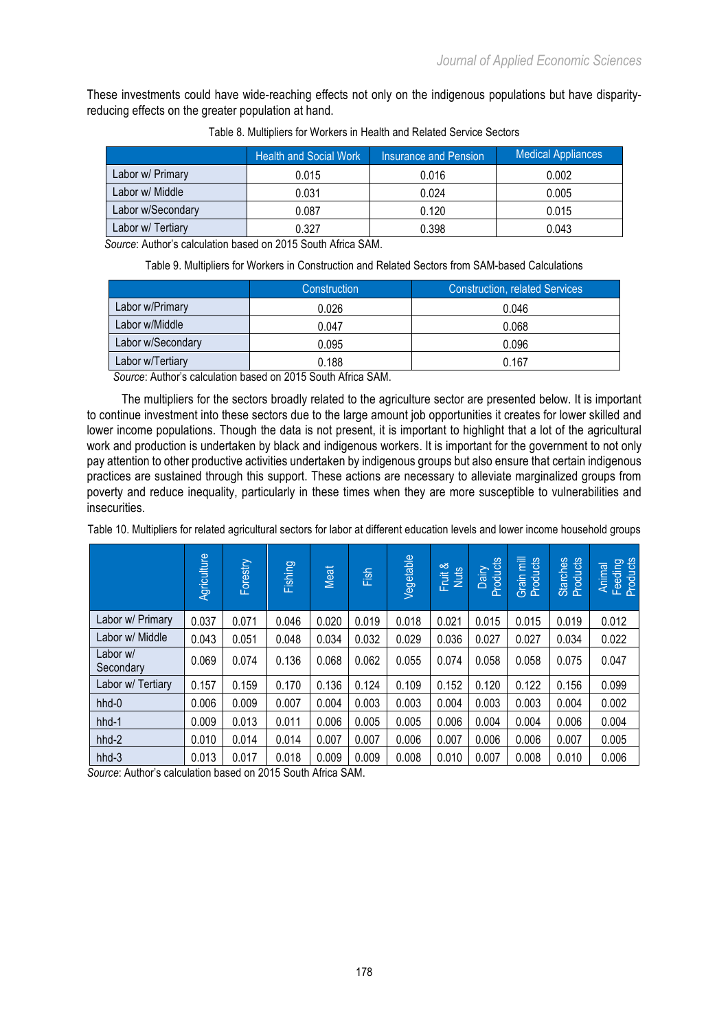These investments could have wide-reaching effects not only on the indigenous populations but have disparityreducing effects on the greater population at hand.

|                   | <b>Health and Social Work</b> | <b>Insurance and Pension</b> | <b>Medical Appliances</b> |
|-------------------|-------------------------------|------------------------------|---------------------------|
| Labor w/ Primary  | 0.015                         | 0.016                        | 0.002                     |
| Labor w/ Middle   | 0.031                         | 0.024                        | 0.005                     |
| Labor w/Secondary | 0.087                         | 0.120                        | 0.015                     |
| Labor w/ Tertiary | 0.327                         | 0.398                        | 0.043                     |

Table 8. Multipliers for Workers in Health and Related Service Sectors

*Source*: Author's calculation based on 2015 South Africa SAM.

Table 9. Multipliers for Workers in Construction and Related Sectors from SAM-based Calculations

|                   | Construction | <b>Construction, related Services</b> |
|-------------------|--------------|---------------------------------------|
| Labor w/Primary   | 0.026        | 0.046                                 |
| Labor w/Middle    | 0.047        | 0.068                                 |
| Labor w/Secondary | 0.095        | 0.096                                 |
| Labor w/Tertiary  | 0.188        | 0.167                                 |

*Source*: Author's calculation based on 2015 South Africa SAM.

The multipliers for the sectors broadly related to the agriculture sector are presented below. It is important to continue investment into these sectors due to the large amount job opportunities it creates for lower skilled and lower income populations. Though the data is not present, it is important to highlight that a lot of the agricultural work and production is undertaken by black and indigenous workers. It is important for the government to not only pay attention to other productive activities undertaken by indigenous groups but also ensure that certain indigenous practices are sustained through this support. These actions are necessary to alleviate marginalized groups from poverty and reduce inequality, particularly in these times when they are more susceptible to vulnerabilities and insecurities.

|                                                 | Agriculture | Forestry | <b>Fishing</b>                   | Meat  | Fish               | Vegetable | ∝<br>Fruit &<br>Nuts | roducts<br><b>Dairy</b><br>$\Omega$ | Grain mill<br>Products | Starches<br>Products | Animal<br>Feeding<br>Products |
|-------------------------------------------------|-------------|----------|----------------------------------|-------|--------------------|-----------|----------------------|-------------------------------------|------------------------|----------------------|-------------------------------|
| Labor w/ Primary                                | 0.037       | 0.071    | 0.046                            | 0.020 | 0.019              | 0.018     | 0.021                | 0.015                               | 0.015                  | 0.019                | 0.012                         |
| Labor w/ Middle                                 | 0.043       | 0.051    | 0.048                            | 0.034 | 0.032              | 0.029     | 0.036                | 0.027                               | 0.027                  | 0.034                | 0.022                         |
| Labor w/<br>Secondary                           | 0.069       | 0.074    | 0.136                            | 0.068 | 0.062              | 0.055     | 0.074                | 0.058                               | 0.058                  | 0.075                | 0.047                         |
| Labor w/ Tertiary                               | 0.157       | 0.159    | 0.170                            | 0.136 | 0.124              | 0.109     | 0.152                | 0.120                               | 0.122                  | 0.156                | 0.099                         |
| hhd-0                                           | 0.006       | 0.009    | 0.007                            | 0.004 | 0.003              | 0.003     | 0.004                | 0.003                               | 0.003                  | 0.004                | 0.002                         |
| hhd-1                                           | 0.009       | 0.013    | 0.011                            | 0.006 | 0.005              | 0.005     | 0.006                | 0.004                               | 0.004                  | 0.006                | 0.004                         |
| hhd-2                                           | 0.010       | 0.014    | 0.014                            | 0.007 | 0.007              | 0.006     | 0.007                | 0.006                               | 0.006                  | 0.007                | 0.005                         |
| $hhd-3$<br>Ostros - Artik - Jan - Hardetta - Le | 0.013       | 0.017    | 0.018<br>$0.045$ $0.045$ $1.001$ | 0.009 | 0.009<br>$\bigcap$ | 0.008     | 0.010                | 0.007                               | 0.008                  | 0.010                | 0.006                         |

Table 10. Multipliers for related agricultural sectors for labor at different education levels and lower income household groups

*Source*: Author's calculation based on 2015 South Africa SAM.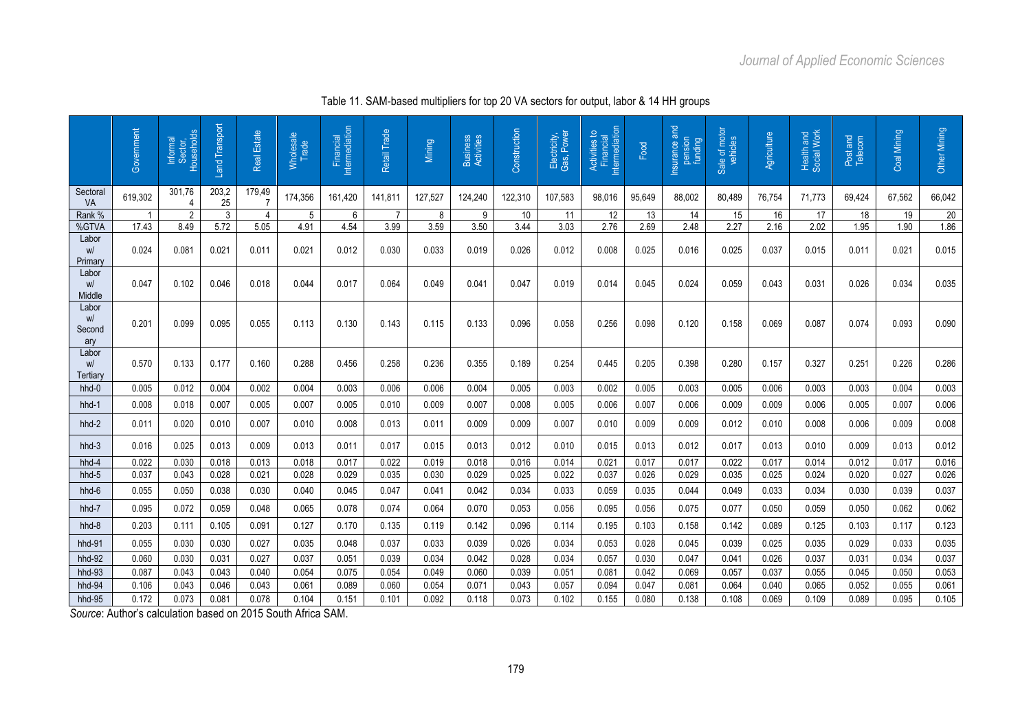|                                    | Government | Sector,<br>Households<br>Informal | Land Transport | Real Estate              | Wholesale<br>Trade | Financial<br>Intermediation | Retail Trade | <b>Mining</b> | Business<br>Activities | Construction    | Electricity,<br>Gas, Power | Activities to<br>Financial<br>Intermediation | Food   | Insurance and<br>pension<br>funding | Sale of motor<br>vehicles | Agriculture | Health and<br>Social Work | Post and<br>Telecom | Coal Mining | Other Mining |
|------------------------------------|------------|-----------------------------------|----------------|--------------------------|--------------------|-----------------------------|--------------|---------------|------------------------|-----------------|----------------------------|----------------------------------------------|--------|-------------------------------------|---------------------------|-------------|---------------------------|---------------------|-------------|--------------|
| Sectoral<br>VA                     | 619,302    | 301,76<br>$\overline{4}$          | 203,2<br>25    | 179,49<br>$\overline{7}$ | 174,356            | 161,420                     | 141,811      | 127,527       | 124,240                | 122,310         | 107,583                    | 98,016                                       | 95,649 | 88,002                              | 80,489                    | 76,754      | 71,773                    | 69,424              | 67,562      | 66,042       |
| Rank %                             |            | $\overline{2}$                    | 3              | 4                        | 5                  | 6                           | -7           | 8             | 9                      | 10 <sup>°</sup> | 11                         | 12                                           | 13     | 14                                  | 15                        | 16          | 17                        | 18                  | 19          | 20           |
| %GTVA                              | 17.43      | 8.49                              | 5.72           | 5.05                     | 4.91               | 4.54                        | 3.99         | 3.59          | 3.50                   | 3.44            | 3.03                       | 2.76                                         | 2.69   | 2.48                                | 2.27                      | 2.16        | 2.02                      | 1.95                | 1.90        | 1.86         |
| Labor<br>W <sup>1</sup><br>Primary | 0.024      | 0.081                             | 0.021          | 0.011                    | 0.021              | 0.012                       | 0.030        | 0.033         | 0.019                  | 0.026           | 0.012                      | 0.008                                        | 0.025  | 0.016                               | 0.025                     | 0.037       | 0.015                     | 0.011               | 0.021       | 0.015        |
| Labor<br>W/<br>Middle              | 0.047      | 0.102                             | 0.046          | 0.018                    | 0.044              | 0.017                       | 0.064        | 0.049         | 0.041                  | 0.047           | 0.019                      | 0.014                                        | 0.045  | 0.024                               | 0.059                     | 0.043       | 0.031                     | 0.026               | 0.034       | 0.035        |
| Labor<br>W/<br>Second<br>ary       | 0.201      | 0.099                             | 0.095          | 0.055                    | 0.113              | 0.130                       | 0.143        | 0.115         | 0.133                  | 0.096           | 0.058                      | 0.256                                        | 0.098  | 0.120                               | 0.158                     | 0.069       | 0.087                     | 0.074               | 0.093       | 0.090        |
| Labor<br>W/<br>Tertiary            | 0.570      | 0.133                             | 0.177          | 0.160                    | 0.288              | 0.456                       | 0.258        | 0.236         | 0.355                  | 0.189           | 0.254                      | 0.445                                        | 0.205  | 0.398                               | 0.280                     | 0.157       | 0.327                     | 0.251               | 0.226       | 0.286        |
| hhd-0                              | 0.005      | 0.012                             | 0.004          | 0.002                    | 0.004              | 0.003                       | 0.006        | 0.006         | 0.004                  | 0.005           | 0.003                      | 0.002                                        | 0.005  | 0.003                               | 0.005                     | 0.006       | 0.003                     | 0.003               | 0.004       | 0.003        |
| hhd-1                              | 0.008      | 0.018                             | 0.007          | 0.005                    | 0.007              | 0.005                       | 0.010        | 0.009         | 0.007                  | 0.008           | 0.005                      | 0.006                                        | 0.007  | 0.006                               | 0.009                     | 0.009       | 0.006                     | 0.005               | 0.007       | 0.006        |
| $hhd-2$                            | 0.011      | 0.020                             | 0.010          | 0.007                    | 0.010              | 0.008                       | 0.013        | 0.011         | 0.009                  | 0.009           | 0.007                      | 0.010                                        | 0.009  | 0.009                               | 0.012                     | 0.010       | 0.008                     | 0.006               | 0.009       | 0.008        |
| $hhd-3$                            | 0.016      | 0.025                             | 0.013          | 0.009                    | 0.013              | 0.011                       | 0.017        | 0.015         | 0.013                  | 0.012           | 0.010                      | 0.015                                        | 0.013  | 0.012                               | 0.017                     | 0.013       | 0.010                     | 0.009               | 0.013       | 0.012        |
| hhd-4                              | 0.022      | 0.030                             | 0.018          | 0.013                    | 0.018              | 0.017                       | 0.022        | 0.019         | 0.018                  | 0.016           | 0.014                      | 0.021                                        | 0.017  | 0.017                               | 0.022                     | 0.017       | 0.014                     | 0.012               | 0.017       | 0.016        |
| hhd-5                              | 0.037      | 0.043                             | 0.028          | 0.021                    | 0.028              | 0.029                       | 0.035        | 0.030         | 0.029                  | 0.025           | 0.022                      | 0.037                                        | 0.026  | 0.029                               | 0.035                     | 0.025       | 0.024                     | 0.020               | 0.027       | 0.026        |
| hhd-6                              | 0.055      | 0.050                             | 0.038          | 0.030                    | 0.040              | 0.045                       | 0.047        | 0.041         | 0.042                  | 0.034           | 0.033                      | 0.059                                        | 0.035  | 0.044                               | 0.049                     | 0.033       | 0.034                     | 0.030               | 0.039       | 0.037        |
| hhd-7                              | 0.095      | 0.072                             | 0.059          | 0.048                    | 0.065              | 0.078                       | 0.074        | 0.064         | 0.070                  | 0.053           | 0.056                      | 0.095                                        | 0.056  | 0.075                               | 0.077                     | 0.050       | 0.059                     | 0.050               | 0.062       | 0.062        |
| hhd-8                              | 0.203      | 0.111                             | 0.105          | 0.091                    | 0.127              | 0.170                       | 0.135        | 0.119         | 0.142                  | 0.096           | 0.114                      | 0.195                                        | 0.103  | 0.158                               | 0.142                     | 0.089       | 0.125                     | 0.103               | 0.117       | 0.123        |
| hhd-91                             | 0.055      | 0.030                             | 0.030          | 0.027                    | 0.035              | 0.048                       | 0.037        | 0.033         | 0.039                  | 0.026           | 0.034                      | 0.053                                        | 0.028  | 0.045                               | 0.039                     | 0.025       | 0.035                     | 0.029               | 0.033       | 0.035        |
| hhd-92                             | 0.060      | 0.030                             | 0.031          | 0.027                    | 0.037              | 0.051                       | 0.039        | 0.034         | 0.042                  | 0.028           | 0.034                      | 0.057                                        | 0.030  | 0.047                               | 0.041                     | 0.026       | 0.037                     | 0.031               | 0.034       | 0.037        |
| hhd-93                             | 0.087      | 0.043                             | 0.043          | 0.040                    | 0.054              | 0.075                       | 0.054        | 0.049         | 0.060                  | 0.039           | 0.051                      | 0.081                                        | 0.042  | 0.069                               | 0.057                     | 0.037       | 0.055                     | 0.045               | 0.050       | 0.053        |
| hhd-94                             | 0.106      | 0.043                             | 0.046          | 0.043                    | 0.061              | 0.089                       | 0.060        | 0.054         | 0.071                  | 0.043           | 0.057                      | 0.094                                        | 0.047  | 0.081                               | 0.064                     | 0.040       | 0.065                     | 0.052               | 0.055       | 0.061        |
| hhd-95                             | 0.172      | 0.073                             | 0.081          | 0.078                    | 0.104              | 0.151                       | 0.101        | 0.092         | 0.118                  | 0.073           | 0.102                      | 0.155                                        | 0.080  | 0.138                               | 0.108                     | 0.069       | 0.109                     | 0.089               | 0.095       | 0.105        |

Table 11. SAM-based multipliers for top 20 VA sectors for output, labor & 14 HH groups

*Source*: Author's calculation based on 2015 South Africa SAM.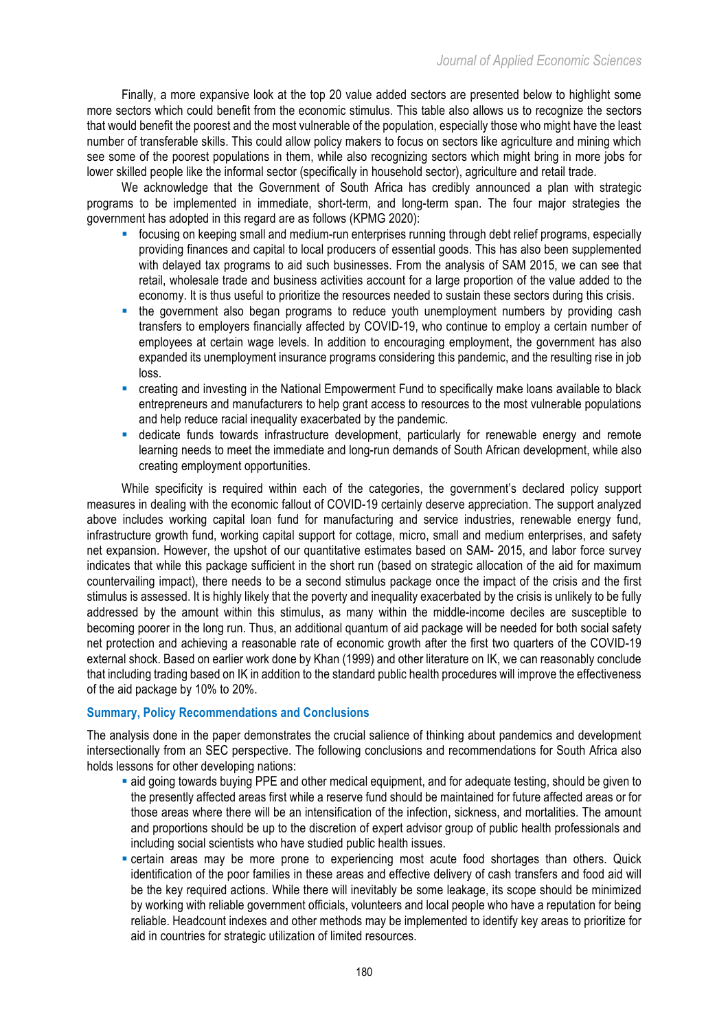Finally, a more expansive look at the top 20 value added sectors are presented below to highlight some more sectors which could benefit from the economic stimulus. This table also allows us to recognize the sectors that would benefit the poorest and the most vulnerable of the population, especially those who might have the least number of transferable skills. This could allow policy makers to focus on sectors like agriculture and mining which see some of the poorest populations in them, while also recognizing sectors which might bring in more jobs for lower skilled people like the informal sector (specifically in household sector), agriculture and retail trade.

We acknowledge that the Government of South Africa has credibly announced a plan with strategic programs to be implemented in immediate, short-term, and long-term span. The four major strategies the government has adopted in this regard are as follows (KPMG 2020):

- focusing on keeping small and medium-run enterprises running through debt relief programs, especially providing finances and capital to local producers of essential goods. This has also been supplemented with delayed tax programs to aid such businesses. From the analysis of SAM 2015, we can see that retail, wholesale trade and business activities account for a large proportion of the value added to the economy. It is thus useful to prioritize the resources needed to sustain these sectors during this crisis.
- the government also began programs to reduce youth unemployment numbers by providing cash transfers to employers financially affected by COVID-19, who continue to employ a certain number of employees at certain wage levels. In addition to encouraging employment, the government has also expanded its unemployment insurance programs considering this pandemic, and the resulting rise in job loss.
- creating and investing in the National Empowerment Fund to specifically make loans available to black entrepreneurs and manufacturers to help grant access to resources to the most vulnerable populations and help reduce racial inequality exacerbated by the pandemic.
- § dedicate funds towards infrastructure development, particularly for renewable energy and remote learning needs to meet the immediate and long-run demands of South African development, while also creating employment opportunities.

While specificity is required within each of the categories, the government's declared policy support measures in dealing with the economic fallout of COVID-19 certainly deserve appreciation. The support analyzed above includes working capital loan fund for manufacturing and service industries, renewable energy fund, infrastructure growth fund, working capital support for cottage, micro, small and medium enterprises, and safety net expansion. However, the upshot of our quantitative estimates based on SAM- 2015, and labor force survey indicates that while this package sufficient in the short run (based on strategic allocation of the aid for maximum countervailing impact), there needs to be a second stimulus package once the impact of the crisis and the first stimulus is assessed. It is highly likely that the poverty and inequality exacerbated by the crisis is unlikely to be fully addressed by the amount within this stimulus, as many within the middle-income deciles are susceptible to becoming poorer in the long run. Thus, an additional quantum of aid package will be needed for both social safety net protection and achieving a reasonable rate of economic growth after the first two quarters of the COVID-19 external shock. Based on earlier work done by Khan (1999) and other literature on IK, we can reasonably conclude that including trading based on IK in addition to the standard public health procedures will improve the effectiveness of the aid package by 10% to 20%.

## **Summary, Policy Recommendations and Conclusions**

The analysis done in the paper demonstrates the crucial salience of thinking about pandemics and development intersectionally from an SEC perspective. The following conclusions and recommendations for South Africa also holds lessons for other developing nations:

- aid going towards buying PPE and other medical equipment, and for adequate testing, should be given to the presently affected areas first while a reserve fund should be maintained for future affected areas or for those areas where there will be an intensification of the infection, sickness, and mortalities. The amount and proportions should be up to the discretion of expert advisor group of public health professionals and including social scientists who have studied public health issues.
- **certain areas may be more prone to experiencing most acute food shortages than others. Quick** identification of the poor families in these areas and effective delivery of cash transfers and food aid will be the key required actions. While there will inevitably be some leakage, its scope should be minimized by working with reliable government officials, volunteers and local people who have a reputation for being reliable. Headcount indexes and other methods may be implemented to identify key areas to prioritize for aid in countries for strategic utilization of limited resources.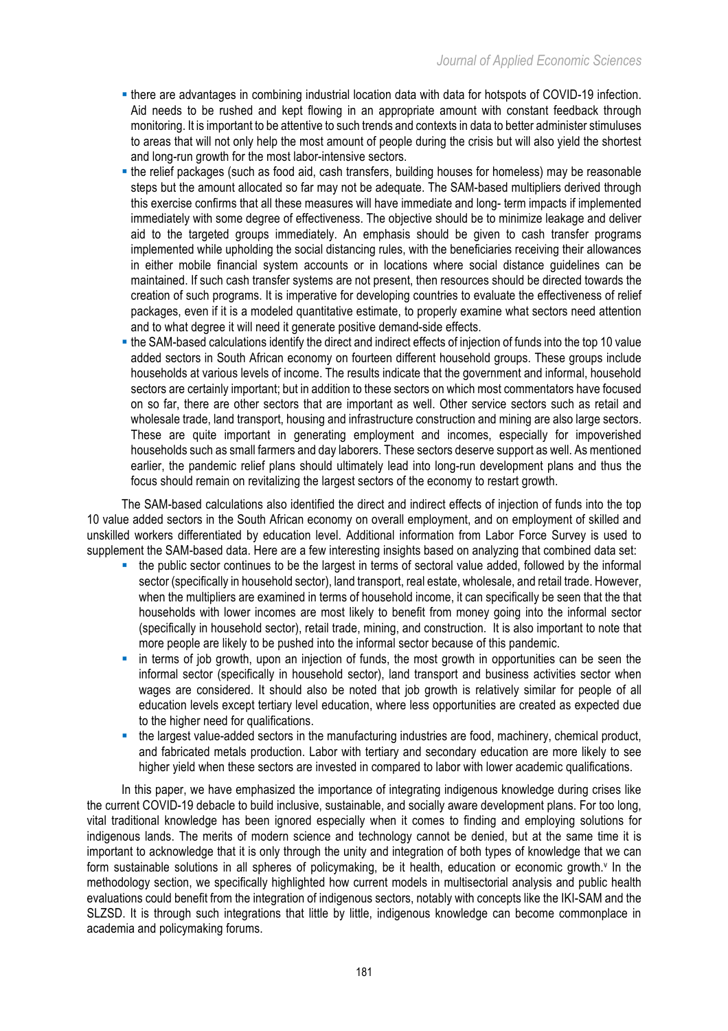- § there are advantages in combining industrial location data with data for hotspots of COVID-19 infection. Aid needs to be rushed and kept flowing in an appropriate amount with constant feedback through monitoring. It is important to be attentive to such trends and contexts in data to better administer stimuluses to areas that will not only help the most amount of people during the crisis but will also yield the shortest and long-run growth for the most labor-intensive sectors.
- the relief packages (such as food aid, cash transfers, building houses for homeless) may be reasonable steps but the amount allocated so far may not be adequate. The SAM-based multipliers derived through this exercise confirms that all these measures will have immediate and long- term impacts if implemented immediately with some degree of effectiveness. The objective should be to minimize leakage and deliver aid to the targeted groups immediately. An emphasis should be given to cash transfer programs implemented while upholding the social distancing rules, with the beneficiaries receiving their allowances in either mobile financial system accounts or in locations where social distance guidelines can be maintained. If such cash transfer systems are not present, then resources should be directed towards the creation of such programs. It is imperative for developing countries to evaluate the effectiveness of relief packages, even if it is a modeled quantitative estimate, to properly examine what sectors need attention and to what degree it will need it generate positive demand-side effects.
- the SAM-based calculations identify the direct and indirect effects of injection of funds into the top 10 value added sectors in South African economy on fourteen different household groups. These groups include households at various levels of income. The results indicate that the government and informal, household sectors are certainly important; but in addition to these sectors on which most commentators have focused on so far, there are other sectors that are important as well. Other service sectors such as retail and wholesale trade, land transport, housing and infrastructure construction and mining are also large sectors. These are quite important in generating employment and incomes, especially for impoverished households such as small farmers and day laborers. These sectors deserve support as well. As mentioned earlier, the pandemic relief plans should ultimately lead into long-run development plans and thus the focus should remain on revitalizing the largest sectors of the economy to restart growth.

The SAM-based calculations also identified the direct and indirect effects of injection of funds into the top 10 value added sectors in the South African economy on overall employment, and on employment of skilled and unskilled workers differentiated by education level. Additional information from Labor Force Survey is used to supplement the SAM-based data. Here are a few interesting insights based on analyzing that combined data set:

- the public sector continues to be the largest in terms of sectoral value added, followed by the informal sector (specifically in household sector), land transport, real estate, wholesale, and retail trade. However, when the multipliers are examined in terms of household income, it can specifically be seen that the that households with lower incomes are most likely to benefit from money going into the informal sector (specifically in household sector), retail trade, mining, and construction. It is also important to note that more people are likely to be pushed into the informal sector because of this pandemic.
- in terms of job growth, upon an injection of funds, the most growth in opportunities can be seen the informal sector (specifically in household sector), land transport and business activities sector when wages are considered. It should also be noted that job growth is relatively similar for people of all education levels except tertiary level education, where less opportunities are created as expected due to the higher need for qualifications.
- the largest value-added sectors in the manufacturing industries are food, machinery, chemical product, and fabricated metals production. Labor with tertiary and secondary education are more likely to see higher yield when these sectors are invested in compared to labor with lower academic qualifications.

In this paper, we have emphasized the importance of integrating indigenous knowledge during crises like the current COVID-19 debacle to build inclusive, sustainable, and socially aware development plans. For too long, vital traditional knowledge has been ignored especially when it comes to finding and employing solutions for indigenous lands. The merits of modern science and technology cannot be denied, but at the same time it is important to acknowledge that it is only through the unity and integration of both types of knowledge that we can form sustainable solutions in all spheres of policymaking, be it health, education or economic growth.<sup>y</sup> In the methodology section, we specifically highlighted how current models in multisectorial analysis and public health evaluations could benefit from the integration of indigenous sectors, notably with concepts like the IKI-SAM and the SLZSD. It is through such integrations that little by little, indigenous knowledge can become commonplace in academia and policymaking forums.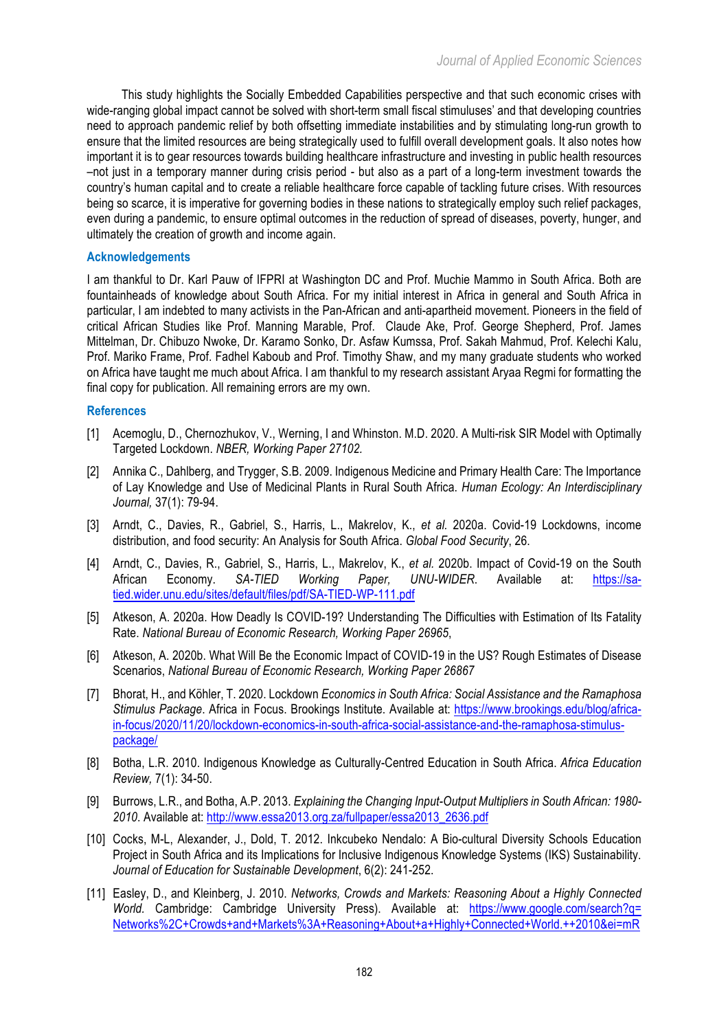This study highlights the Socially Embedded Capabilities perspective and that such economic crises with wide-ranging global impact cannot be solved with short-term small fiscal stimuluses' and that developing countries need to approach pandemic relief by both offsetting immediate instabilities and by stimulating long-run growth to ensure that the limited resources are being strategically used to fulfill overall development goals. It also notes how important it is to gear resources towards building healthcare infrastructure and investing in public health resources –not just in a temporary manner during crisis period - but also as a part of a long-term investment towards the country's human capital and to create a reliable healthcare force capable of tackling future crises. With resources being so scarce, it is imperative for governing bodies in these nations to strategically employ such relief packages, even during a pandemic, to ensure optimal outcomes in the reduction of spread of diseases, poverty, hunger, and ultimately the creation of growth and income again.

## **Acknowledgements**

I am thankful to Dr. Karl Pauw of IFPRI at Washington DC and Prof. Muchie Mammo in South Africa. Both are fountainheads of knowledge about South Africa. For my initial interest in Africa in general and South Africa in particular, I am indebted to many activists in the Pan-African and anti-apartheid movement. Pioneers in the field of critical African Studies like Prof. Manning Marable, Prof. Claude Ake, Prof. George Shepherd, Prof. James Mittelman, Dr. Chibuzo Nwoke, Dr. Karamo Sonko, Dr. Asfaw Kumssa, Prof. Sakah Mahmud, Prof. Kelechi Kalu, Prof. Mariko Frame, Prof. Fadhel Kaboub and Prof. Timothy Shaw, and my many graduate students who worked on Africa have taught me much about Africa. I am thankful to my research assistant Aryaa Regmi for formatting the final copy for publication. All remaining errors are my own.

## **References**

- [1] Acemoglu, D., Chernozhukov, V., Werning, I and Whinston. M.D. 2020. A Multi-risk SIR Model with Optimally Targeted Lockdown. *NBER, Working Paper 27102.*
- [2] Annika C., Dahlberg, and Trygger, S.B. 2009. Indigenous Medicine and Primary Health Care: The Importance of Lay Knowledge and Use of Medicinal Plants in Rural South Africa. *Human Ecology: An Interdisciplinary Journal,* 37(1): 79-94.
- [3] Arndt, C., Davies, R., Gabriel, S., Harris, L., Makrelov, K., *et al.* 2020a. Covid-19 Lockdowns, income distribution, and food security: An Analysis for South Africa. *Global Food Security*, 26.
- [4] Arndt, C., Davies, R., Gabriel, S., Harris, L., Makrelov, K., *et al.* 2020b. Impact of Covid-19 on the South African Economy. *SA-TIED Working Paper, UNU-WIDER*. Available at: https://satied.wider.unu.edu/sites/default/files/pdf/SA-TIED-WP-111.pdf
- [5] Atkeson, A. 2020a. How Deadly Is COVID-19? Understanding The Difficulties with Estimation of Its Fatality Rate. *National Bureau of Economic Research, Working Paper 26965*,
- [6] Atkeson, A. 2020b. What Will Be the Economic Impact of COVID-19 in the US? Rough Estimates of Disease Scenarios, *National Bureau of Economic Research, Working Paper 26867*
- [7] Bhorat, H., and Köhler, T. 2020. Lockdown *Economics in South Africa: Social Assistance and the Ramaphosa Stimulus Package*. Africa in Focus. Brookings Institute. Available at: https://www.brookings.edu/blog/africain-focus/2020/11/20/lockdown-economics-in-south-africa-social-assistance-and-the-ramaphosa-stimuluspackage/
- [8] Botha, L.R. 2010. Indigenous Knowledge as Culturally-Centred Education in South Africa. *Africa Education Review,* 7(1): 34-50.
- [9] Burrows, L.R., and Botha, A.P. 2013. *Explaining the Changing Input-Output Multipliers in South African: 1980- 2010*. Available at: http://www.essa2013.org.za/fullpaper/essa2013\_2636.pdf
- [10] Cocks, M-L, Alexander, J., Dold, T. 2012. Inkcubeko Nendalo: A Bio-cultural Diversity Schools Education Project in South Africa and its Implications for Inclusive Indigenous Knowledge Systems (IKS) Sustainability. *Journal of Education for Sustainable Development*, 6(2): 241-252.
- [11] Easley, D., and Kleinberg, J. 2010. *Networks, Crowds and Markets: Reasoning About a Highly Connected*  World. Cambridge: Cambridge University Press). Available at: https://www.google.com/search?q= Networks%2C+Crowds+and+Markets%3A+Reasoning+About+a+Highly+Connected+World.++2010&ei=mR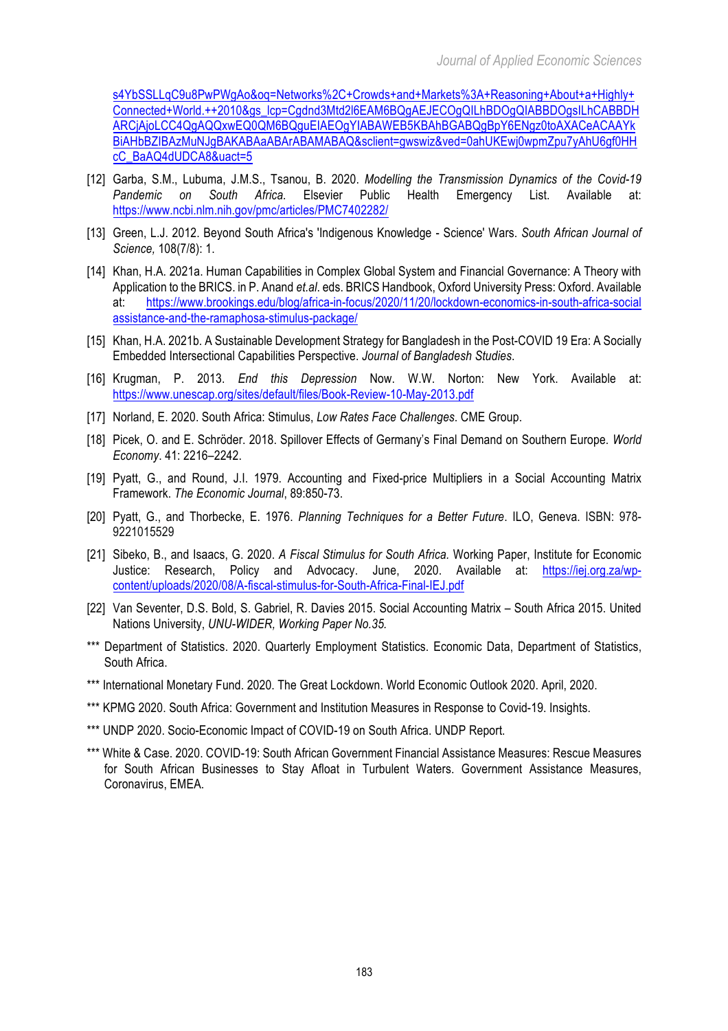s4YbSSLLqC9u8PwPWgAo&oq=Networks%2C+Crowds+and+Markets%3A+Reasoning+About+a+Highly+ Connected+World.++2010&gs\_lcp=Cgdnd3Mtd2l6EAM6BQgAEJECOgQILhBDOgQIABBDOgsILhCABBDH ARCjAjoLCC4QgAQQxwEQ0QM6BQguEIAEOgYIABAWEB5KBAhBGABQgBpY6ENgz0toAXACeACAAYk BiAHbBZIBAzMuNJgBAKABAaABArABAMABAQ&sclient=gwswiz&ved=0ahUKEwj0wpmZpu7yAhU6gf0HH cC\_BaAQ4dUDCA8&uact=5

- [12] Garba, S.M., Lubuma, J.M.S., Tsanou, B. 2020. *Modelling the Transmission Dynamics of the Covid-19 Pandemic on South Africa.* Elsevier Public Health Emergency List. Available at: https://www.ncbi.nlm.nih.gov/pmc/articles/PMC7402282/
- [13] Green, L.J. 2012. Beyond South Africa's 'Indigenous Knowledge Science' Wars. *South African Journal of Science,* 108(7/8): 1.
- [14] Khan, H.A. 2021a. Human Capabilities in Complex Global System and Financial Governance: A Theory with Application to the BRICS. in P. Anand *et.al*. eds. BRICS Handbook, Oxford University Press: Oxford. Available at: https://www.brookings.edu/blog/africa-in-focus/2020/11/20/lockdown-economics-in-south-africa-social assistance-and-the-ramaphosa-stimulus-package/
- [15] Khan, H.A. 2021b. A Sustainable Development Strategy for Bangladesh in the Post-COVID 19 Era: A Socially Embedded Intersectional Capabilities Perspective. *Journal of Bangladesh Studies*.
- [16] Krugman, P. 2013. *End this Depression* Now. W.W. Norton: New York. Available at: https://www.unescap.org/sites/default/files/Book-Review-10-May-2013.pdf
- [17] Norland, E. 2020. South Africa: Stimulus, *Low Rates Face Challenges*. CME Group.
- [18] Picek, O. and E. Schröder. 2018. Spillover Effects of Germany's Final Demand on Southern Europe. *World Economy*. 41: 2216–2242.
- [19] Pyatt, G., and Round, J.I. 1979. Accounting and Fixed-price Multipliers in a Social Accounting Matrix Framework. *The Economic Journal*, 89:850-73.
- [20] Pyatt, G., and Thorbecke, E. 1976. *Planning Techniques for a Better Future*. ILO, Geneva. ISBN: 978- 9221015529
- [21] Sibeko, B., and Isaacs, G. 2020. *A Fiscal Stimulus for South Africa.* Working Paper, Institute for Economic Justice: Research, Policy and Advocacy. June, 2020. Available at: https://iej.org.za/wpcontent/uploads/2020/08/A-fiscal-stimulus-for-South-Africa-Final-IEJ.pdf
- [22] Van Seventer, D.S. Bold, S. Gabriel, R. Davies 2015. Social Accounting Matrix *–* South Africa 2015. United Nations University, *UNU-WIDER, Working Paper No.35.*
- \*\*\* Department of Statistics. 2020. Quarterly Employment Statistics. Economic Data, Department of Statistics, South Africa.
- \*\*\* International Monetary Fund. 2020. The Great Lockdown. World Economic Outlook 2020. April, 2020.
- \*\*\* KPMG 2020. South Africa: Government and Institution Measures in Response to Covid-19. Insights.
- \*\*\* UNDP 2020. Socio-Economic Impact of COVID-19 on South Africa. UNDP Report.
- \*\*\* White & Case. 2020. COVID-19: South African Government Financial Assistance Measures: Rescue Measures for South African Businesses to Stay Afloat in Turbulent Waters. Government Assistance Measures, Coronavirus, EMEA.